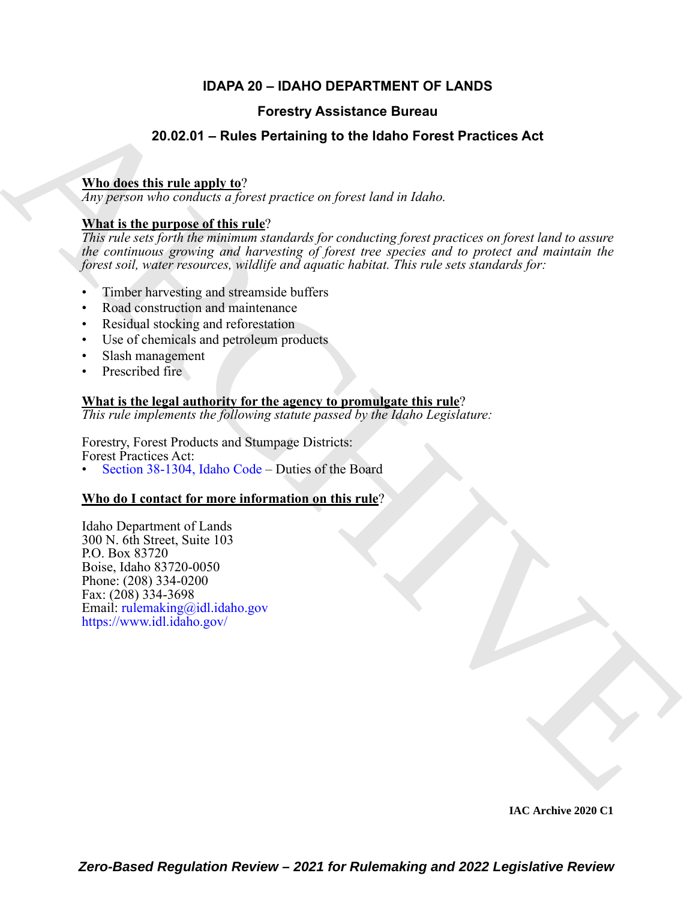### **IDAPA 20 – IDAHO DEPARTMENT OF LANDS**

### **Forestry Assistance Bureau**

### **20.02.01 – Rules Pertaining to the Idaho Forest Practices Act**

### **Who does this rule apply to**?

*Any person who conducts a forest practice on forest land in Idaho.*

### **What is the purpose of this rule**?

**[E](https://www.idl.idaho.gov/)xample 16 and 2020**<br> **Example 16 and 2020**<br> **AR[C](https://legislature.idaho.gov/statutesrules/idstat/Title38/T38CH13/SECT38-1304/)H[IV](mailto:rulemaking@idl.idaho.gov)E SUBARRY (Procedure 2) and 2010**<br> **ARCHIVE SUBARRY (PROFICE ACTIVE ACTIVE ACTIVE ACTIVE ACTIVE ACTIVE ACTIVE ACTIVE ACTIVE ACTIVE ACTIVE ACTIVE AND ARCHIVE ACTIVE AND** *This rule sets forth the minimum standards for conducting forest practices on forest land to assure the continuous growing and harvesting of forest tree species and to protect and maintain the forest soil, water resources, wildlife and aquatic habitat. This rule sets standards for:*

- Timber harvesting and streamside buffers
- Road construction and maintenance
- Residual stocking and reforestation
- Use of chemicals and petroleum products
- Slash management
- Prescribed fire

# **What is the legal authority for the agency to promulgate this rule**?

*This rule implements the following statute passed by the Idaho Legislature:*

Forestry, Forest Products and Stumpage Districts: Forest Practices Act:

• Section 38-1304, Idaho Code – Duties of the Board

### **Who do I contact for more information on this rule**?

Idaho Department of Lands 300 N. 6th Street, Suite 103 P.O. Box 83720 Boise, Idaho 83720-0050 Phone: (208) 334-0200 Fax: (208) 334-3698 Email: rulemaking@idl.idaho.gov https://www.idl.idaho.gov/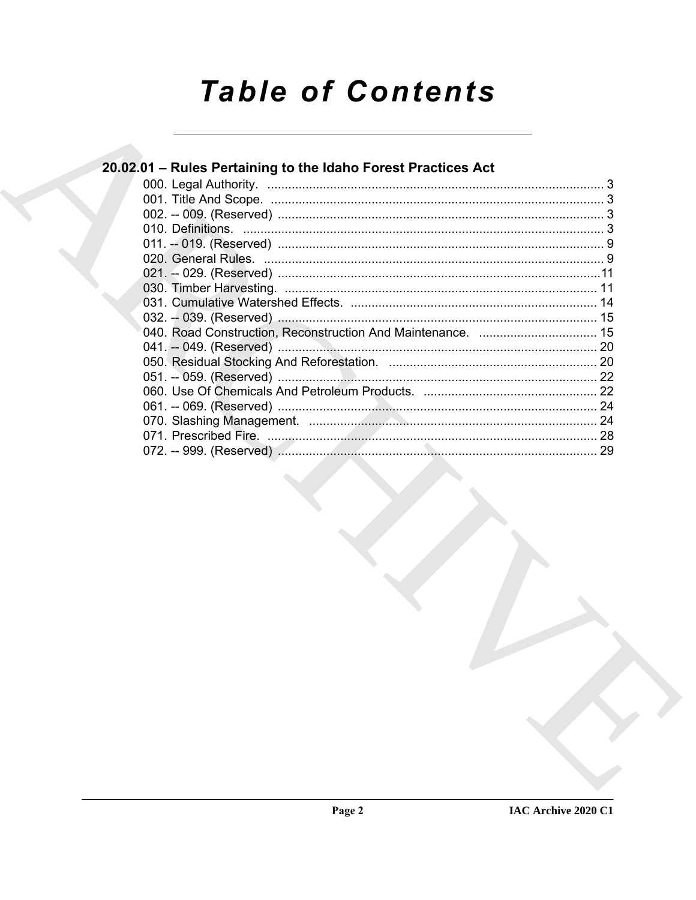# **Table of Contents**

| 20.02.01 - Rules Pertaining to the Idaho Forest Practices Act |  |
|---------------------------------------------------------------|--|
|                                                               |  |
|                                                               |  |
|                                                               |  |
|                                                               |  |
|                                                               |  |
|                                                               |  |
|                                                               |  |
|                                                               |  |
|                                                               |  |
|                                                               |  |
|                                                               |  |
|                                                               |  |
|                                                               |  |
|                                                               |  |
|                                                               |  |
|                                                               |  |
|                                                               |  |
|                                                               |  |
|                                                               |  |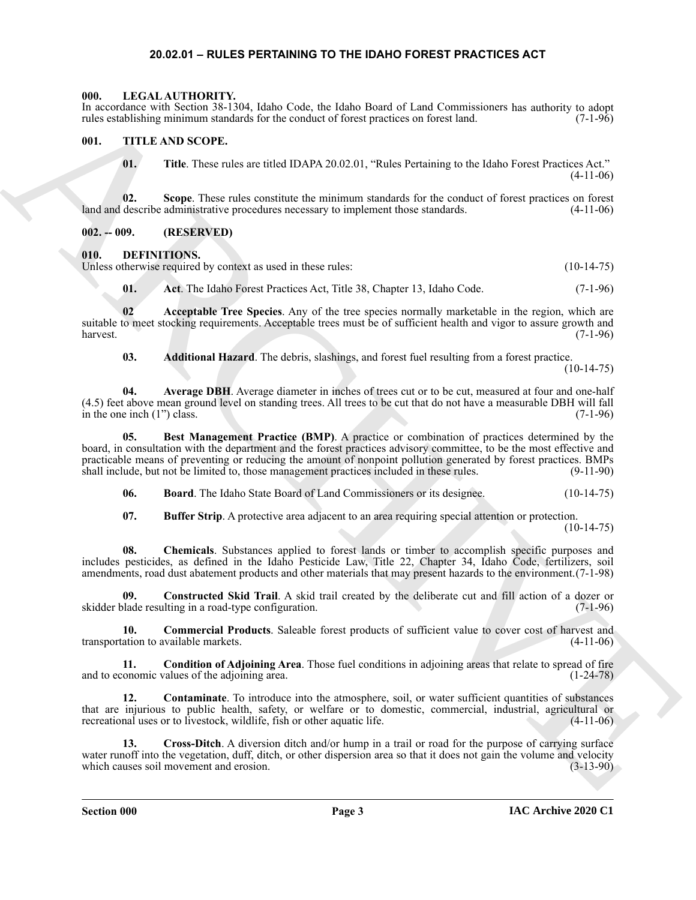#### <span id="page-2-19"></span>**20.02.01 – RULES PERTAINING TO THE IDAHO FOREST PRACTICES ACT**

#### <span id="page-2-1"></span><span id="page-2-0"></span>**000. LEGAL AUTHORITY.**

In accordance with Section 38-1304, Idaho Code, the Idaho Board of Land Commissioners has authority to adopt rules establishing minimum standards for the conduct of forest practices on forest land. (7-1-96)

#### <span id="page-2-2"></span>**001. TITLE AND SCOPE.**

<span id="page-2-20"></span>**01.** Title. These rules are titled IDAPA 20.02.01, "Rules Pertaining to the Idaho Forest Practices Act." (4-11-06)

**02.** Scope. These rules constitute the minimum standards for the conduct of forest practices on forest describe administrative procedures necessary to implement those standards.  $(4-11-06)$ land and describe administrative procedures necessary to implement those standards.

#### <span id="page-2-3"></span>**002. -- 009. (RESERVED)**

#### <span id="page-2-5"></span><span id="page-2-4"></span>**010. DEFINITIONS.**

Unless otherwise required by context as used in these rules: (10-14-75)

<span id="page-2-7"></span><span id="page-2-6"></span>**01.** Act. The Idaho Forest Practices Act, Title 38, Chapter 13, Idaho Code. (7-1-96)

**02 Acceptable Tree Species**. Any of the tree species normally marketable in the region, which are suitable to meet stocking requirements. Acceptable trees must be of sufficient health and vigor to assure growth and harvest. (7-1-96)

<span id="page-2-9"></span><span id="page-2-8"></span>**03. Additional Hazard**. The debris, slashings, and forest fuel resulting from a forest practice.  $(10-14-75)$ 

**04. Average DBH**. Average diameter in inches of trees cut or to be cut, measured at four and one-half (4.5) feet above mean ground level on standing trees. All trees to be cut that do not have a measurable DBH will fall in the one inch (1") class.  $(7-1-96)$ 

Encompatible with section at 1310 kink (viole by identified the signature of the formulations be sufficiently  $\mu_{\text{c}}$ . The Control is the signature of the signature of the signature of the signature of the signature of **05. Best Management Practice (BMP)**. A practice or combination of practices determined by the board, in consultation with the department and the forest practices advisory committee, to be the most effective and practicable means of preventing or reducing the amount of nonpoint pollution generated by forest practices. BMPs shall include, but not be limited to, those management practices included in these rules. (9-11-90)

<span id="page-2-11"></span><span id="page-2-10"></span>**06. Board**. The Idaho State Board of Land Commissioners or its designee. (10-14-75)

<span id="page-2-16"></span><span id="page-2-13"></span><span id="page-2-12"></span>**07.** Buffer Strip. A protective area adjacent to an area requiring special attention or protection.

 $(10-14-75)$ 

**08. Chemicals**. Substances applied to forest lands or timber to accomplish specific purposes and includes pesticides, as defined in the Idaho Pesticide Law, Title 22, Chapter 34, Idaho Code, fertilizers, soil amendments, road dust abatement products and other materials that may present hazards to the environment.(7-1-98)

**09. Constructed Skid Trail**. A skid trail created by the deliberate cut and fill action of a dozer or skidder blade resulting in a road-type configuration. (7-1-96)

<span id="page-2-14"></span>**10. Commercial Products**. Saleable forest products of sufficient value to cover cost of harvest and transportation to available markets. (4-11-06)

<span id="page-2-15"></span>**11. Condition of Adjoining Area**. Those fuel conditions in adjoining areas that relate to spread of fire onomic values of the adjoining area. and to economic values of the adjoining area.

<span id="page-2-17"></span>**12. Contaminate**. To introduce into the atmosphere, soil, or water sufficient quantities of substances that are injurious to public health, safety, or welfare or to domestic, commercial, industrial, agricultural or recreational uses or to livestock, wildlife, fish or other aquatic life.

<span id="page-2-18"></span>13. Cross-Ditch. A diversion ditch and/or hump in a trail or road for the purpose of carrying surface water runoff into the vegetation, duff, ditch, or other dispersion area so that it does not gain the volume and velocity<br>which causes soil movement and erosion. (3-13-90) which causes soil movement and erosion.

**Section 000 Page 3**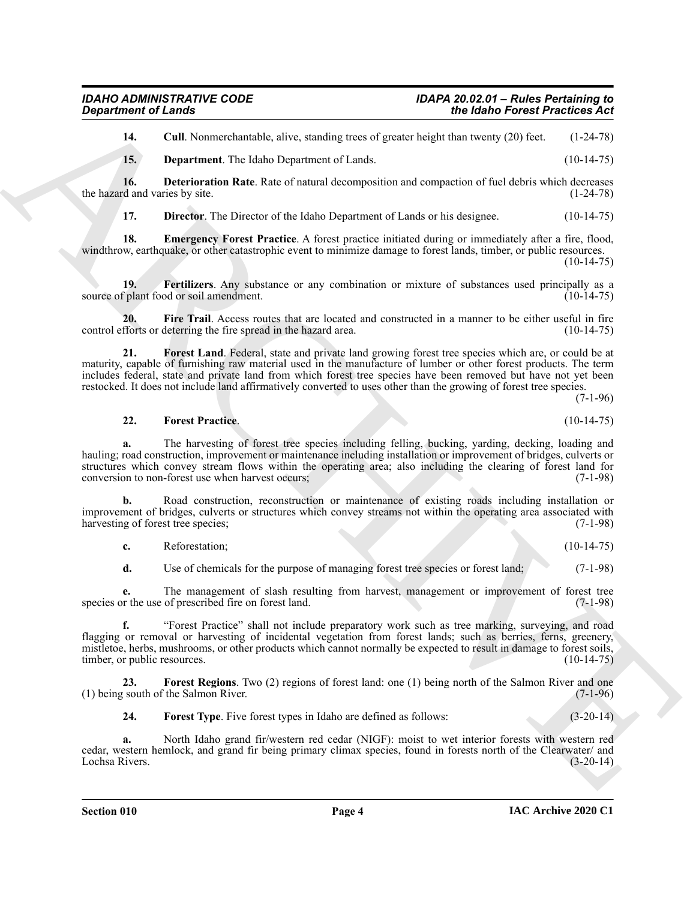<span id="page-3-0"></span>**14.** Cull. Nonmerchantable, alive, standing trees of greater height than twenty (20) feet. (1-24-78)

<span id="page-3-2"></span><span id="page-3-1"></span>**15. Department**. The Idaho Department of Lands. (10-14-75)

**16. Deterioration Rate**. Rate of natural decomposition and compaction of fuel debris which decreases the hazard and varies by site. (1-24-78)

<span id="page-3-5"></span><span id="page-3-4"></span><span id="page-3-3"></span>**17. Director.** The Director of the Idaho Department of Lands or his designee. (10-14-75)

**18. Emergency Forest Practice**. A forest practice initiated during or immediately after a fire, flood, windthrow, earthquake, or other catastrophic event to minimize damage to forest lands, timber, or public resources.  $(10-14-75)$ 

**19. Fertilizers**. Any substance or any combination or mixture of substances used principally as a source of plant food or soil amendment. (10-14-75)

<span id="page-3-6"></span>**20.** Fire Trail. Access routes that are located and constructed in a manner to be either useful in fire forts or deterring the fire spread in the hazard area. (10-14-75) control efforts or deterring the fire spread in the hazard area.

<span id="page-3-7"></span>**21. Forest Land**. Federal, state and private land growing forest tree species which are, or could be at maturity, capable of furnishing raw material used in the manufacture of lumber or other forest products. The term includes federal, state and private land from which forest tree species have been removed but have not yet been restocked. It does not include land affirmatively converted to uses other than the growing of forest tree species.

(7-1-96)

#### <span id="page-3-8"></span>**22. Forest Practice**. (10-14-75)

**a.** The harvesting of forest tree species including felling, bucking, yarding, decking, loading and hauling; road construction, improvement or maintenance including installation or improvement of bridges, culverts or structures which convey stream flows within the operating area; also including the clearing of forest land for conversion to non-forest use when harvest occurs; (7-1-98) conversion to non-forest use when harvest occurs;

**b.** Road construction, reconstruction or maintenance of existing roads including installation or improvement of bridges, culverts or structures which convey streams not within the operating area associated with harvesting of forest tree species; (7-1-98) harvesting of forest tree species;

**c.** Reforestation; (10-14-75)

**d.** Use of chemicals for the purpose of managing forest tree species or forest land; (7-1-98)

**e.** The management of slash resulting from harvest, management or improvement of forest tree<br>or the use of prescribed fire on forest land. (7-1-98) species or the use of prescribed fire on forest land.

**Exparament of Leads \*\*\***<br>
14. Contribute the standard velocity and the standard velocity of the standard velocity (14-4-25)<br>
15. Depertment The Idah Department of Idah. Standard velocity of the Leads of the Heldrich Cont **f.** "Forest Practice" shall not include preparatory work such as tree marking, surveying, and road flagging or removal or harvesting of incidental vegetation from forest lands; such as berries, ferns, greenery, mistletoe, herbs, mushrooms, or other products which cannot normally be expected to result in damage to forest soils, timber, or public resources. (10-14-75)

**23.** Forest Regions. Two (2) regions of forest land: one (1) being north of the Salmon River and one (south of the Salmon River. (7-1-96)  $(1)$  being south of the Salmon River.

<span id="page-3-10"></span><span id="page-3-9"></span>**24.** Forest Type. Five forest types in Idaho are defined as follows:  $(3-20-14)$ 

**a.** North Idaho grand fir/western red cedar (NIGF): moist to wet interior forests with western red cedar, western hemlock, and grand fir being primary climax species, found in forests north of the Clearwater/ and Lochsa Rivers.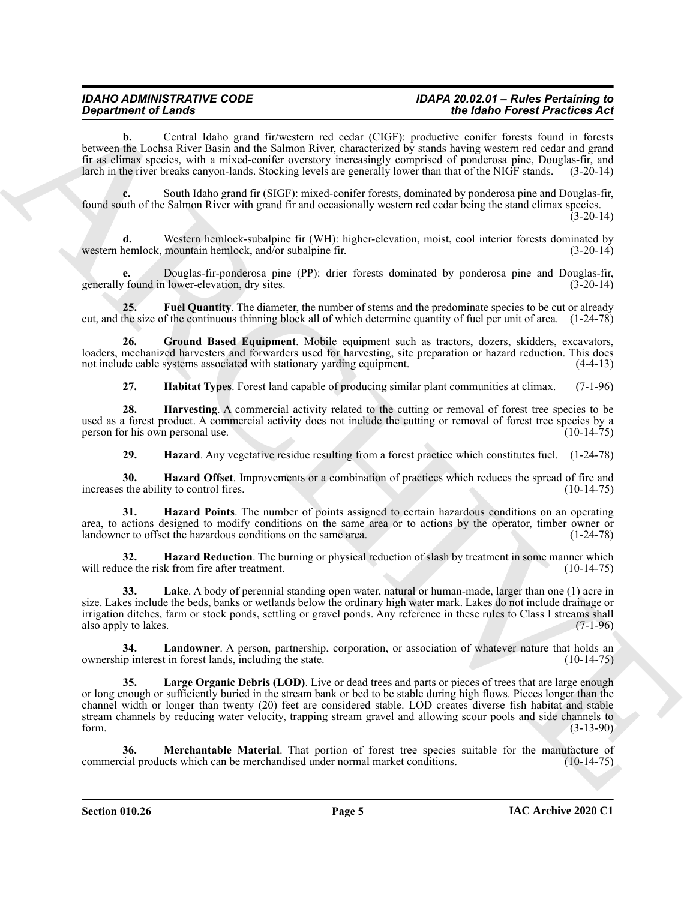#### *IDAHO ADMINISTRATIVE CODE IDAPA 20.02.01 – Rules Pertaining to Department of Lands the Idaho Forest Practices Act*

**b.** Central Idaho grand fir/western red cedar (CIGF): productive conifer forests found in forests between the Lochsa River Basin and the Salmon River, characterized by stands having western red cedar and grand fir as climax species, with a mixed-conifer overstory increasingly comprised of ponderosa pine, Douglas-fir, and larch in the river breaks canyon-lands. Stocking levels are generally lower than that of the NIGF stands. (3-20-14)

**c.** South Idaho grand fir (SIGF): mixed-conifer forests, dominated by ponderosa pine and Douglas-fir, found south of the Salmon River with grand fir and occasionally western red cedar being the stand climax species.  $(3-20-14)$ 

Western hemlock-subalpine fir (WH): higher-elevation, moist, cool interior forests dominated by mountain hemlock, and/or subalpine fir.  $(3-20-14)$ western hemlock, mountain hemlock, and/or subalpine fir.

**e.** Douglas-fir-ponderosa pine (PP): drier forests dominated by ponderosa pine and Douglas-fir, generally found in lower-elevation, dry sites.

<span id="page-4-0"></span>**25. Fuel Quantity**. The diameter, the number of stems and the predominate species to be cut or already cut, and the size of the continuous thinning block all of which determine quantity of fuel per unit of area. (1-24-78)

**26. Ground Based Equipment**. Mobile equipment such as tractors, dozers, skidders, excavators, loaders, mechanized harvesters and forwarders used for harvesting, site preparation or hazard reduction. This does not include cable systems associated with stationary varding equipment. (4-4-13) not include cable systems associated with stationary yarding equipment.

<span id="page-4-3"></span><span id="page-4-2"></span><span id="page-4-1"></span>**27. Habitat Types**. Forest land capable of producing similar plant communities at climax. (7-1-96)

**28. Harvesting**. A commercial activity related to the cutting or removal of forest tree species to be used as a forest product. A commercial activity does not include the cutting or removal of forest tree species by a person for his own personal use. (10-14-75) person for his own personal use.

<span id="page-4-6"></span><span id="page-4-5"></span><span id="page-4-4"></span>**29. Hazard**. Any vegetative residue resulting from a forest practice which constitutes fuel. (1-24-78)

**30. Hazard Offset**. Improvements or a combination of practices which reduces the spread of fire and s the ability to control fires. (10-14-75) increases the ability to control fires.

**31. Hazard Points**. The number of points assigned to certain hazardous conditions on an operating area, to actions designed to modify conditions on the same area or to actions by the operator, timber owner or landowner to offset the hazardous conditions on the same area. (1-24-78)

<span id="page-4-7"></span>**32. Hazard Reduction**. The burning or physical reduction of slash by treatment in some manner which will reduce the risk from fire after treatment. (10-14-75)

<span id="page-4-8"></span>**33. Lake**. A body of perennial standing open water, natural or human-made, larger than one (1) acre in size. Lakes include the beds, banks or wetlands below the ordinary high water mark. Lakes do not include drainage or irrigation ditches, farm or stock ponds, settling or gravel ponds. Any reference in these rules to Class I streams shall also apply to lakes. (7-1-96)

<span id="page-4-10"></span><span id="page-4-9"></span>**34.** Landowner. A person, partnership, corporation, or association of whatever nature that holds an ip interest in forest lands, including the state. (10-14-75) ownership interest in forest lands, including the state.

**Equation of Lange Lie and Society 10** and the Charles constitue of the Main Constitution of the Main Constitution of the Main Constitution of the Main Constitution of the Main Constitution of the Main Constitution of the **35. Large Organic Debris (LOD)**. Live or dead trees and parts or pieces of trees that are large enough or long enough or sufficiently buried in the stream bank or bed to be stable during high flows. Pieces longer than the channel width or longer than twenty (20) feet are considered stable. LOD creates diverse fish habitat and stable stream channels by reducing water velocity, trapping stream gravel and allowing scour pools and side channels to form. (3-13-90)

<span id="page-4-11"></span>**36. Merchantable Material**. That portion of forest tree species suitable for the manufacture of cial products which can be merchandised under normal market conditions. (10-14-75) commercial products which can be merchandised under normal market conditions.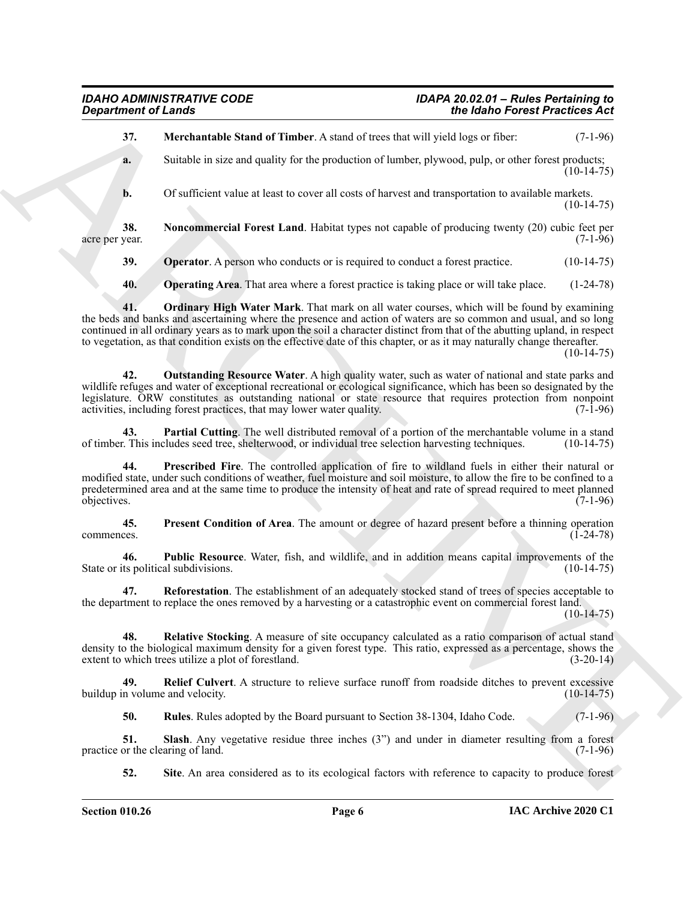<span id="page-5-0"></span>ARCHIVE **37. Merchantable Stand of Timber**. A stand of trees that will yield logs or fiber: (7-1-96) **a.** Suitable in size and quality for the production of lumber, plywood, pulp, or other forest products;  $(10-14-75)$ **b.** Of sufficient value at least to cover all costs of harvest and transportation to available markets.  $(10-14-75)$ **38. Noncommercial Forest Land**. Habitat types not capable of producing twenty (20) cubic feet per acre per year. (7-1-96) **39.** Operator. A person who conducts or is required to conduct a forest practice. (10-14-75) **40. Operating Area**. That area where a forest practice is taking place or will take place. (1-24-78)

<span id="page-5-4"></span><span id="page-5-3"></span><span id="page-5-2"></span><span id="page-5-1"></span>**41. Ordinary High Water Mark**. That mark on all water courses, which will be found by examining the beds and banks and ascertaining where the presence and action of waters are so common and usual, and so long continued in all ordinary years as to mark upon the soil a character distinct from that of the abutting upland, in respect to vegetation, as that condition exists on the effective date of this chapter, or as it may naturally change thereafter.  $(10-14-75)$ 

<span id="page-5-5"></span>**42. Outstanding Resource Water**. A high quality water, such as water of national and state parks and wildlife refuges and water of exceptional recreational or ecological significance, which has been so designated by the legislature. ORW constitutes as outstanding national or state resource that requires protection from nonpoint activities, including forest practices, that may lower water quality. (7-1-96)

<span id="page-5-6"></span>**43. Partial Cutting**. The well distributed removal of a portion of the merchantable volume in a stand ref. This includes seed tree, shelterwood, or individual tree selection harvesting techniques. (10-14-75) of timber. This includes seed tree, shelterwood, or individual tree selection harvesting techniques.

<span id="page-5-7"></span>**44. Prescribed Fire**. The controlled application of fire to wildland fuels in either their natural or modified state, under such conditions of weather, fuel moisture and soil moisture, to allow the fire to be confined to a predetermined area and at the same time to produce the intensity of heat and rate of spread required to meet planned objectives. (7-1-96) objectives. (7-1-96)

<span id="page-5-8"></span>**45. Present Condition of Area**. The amount or degree of hazard present before a thinning operation commences. (1-24-78)

<span id="page-5-9"></span>**46. Public Resource**. Water, fish, and wildlife, and in addition means capital improvements of the State or its political subdivisions. (10-14-75)

<span id="page-5-10"></span>**Reforestation**. The establishment of an adequately stocked stand of trees of species acceptable to the department to replace the ones removed by a harvesting or a catastrophic event on commercial forest land.

 $(10-14-75)$ 

<span id="page-5-11"></span>**48. Relative Stocking**. A measure of site occupancy calculated as a ratio comparison of actual stand density to the biological maximum density for a given forest type. This ratio, expressed as a percentage, shows the extent to which trees utilize a plot of forestland. (3-20-14)

**49. Relief Culvert**. A structure to relieve surface runoff from roadside ditches to prevent excessive buildup in volume and velocity.

<span id="page-5-15"></span><span id="page-5-13"></span><span id="page-5-12"></span>**50. Rules**. Rules adopted by the Board pursuant to Section 38-1304, Idaho Code. (7-1-96)

**51.** Slash. Any vegetative residue three inches (3") and under in diameter resulting from a forest or the clearing of land. (7-1-96) practice or the clearing of land.

<span id="page-5-14"></span>**52. Site**. An area considered as to its ecological factors with reference to capacity to produce forest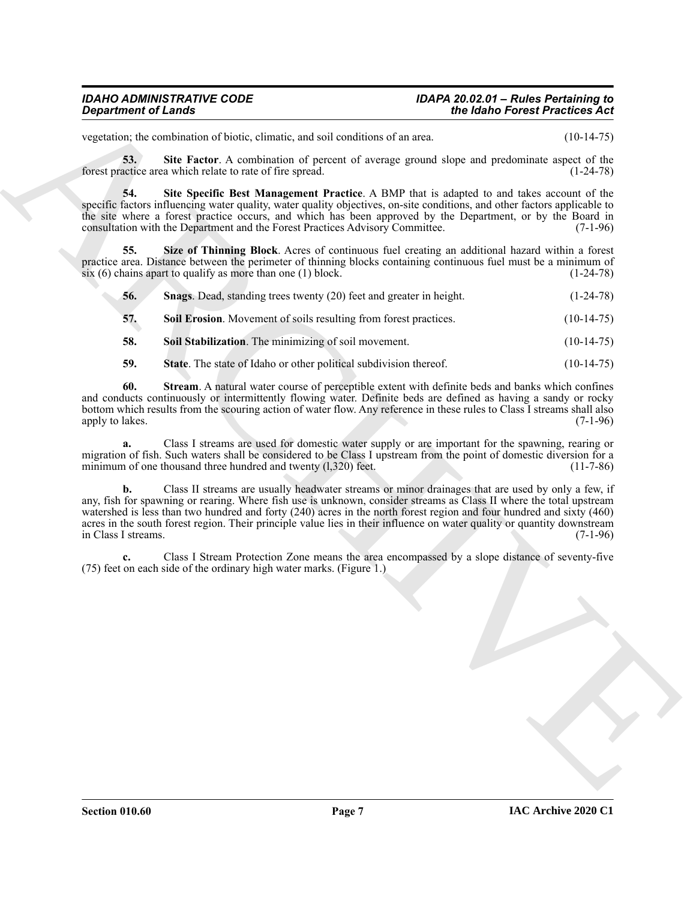# *IDAHO ADMINISTRATIVE CODE IDAPA 20.02.01 – Rules Pertaining to*

vegetation; the combination of biotic, climatic, and soil conditions of an area. (10-14-75)

<span id="page-6-0"></span>**53. Site Factor**. A combination of percent of average ground slope and predominate aspect of the forest practice area which relate to rate of fire spread. (1-24-78)

<span id="page-6-1"></span>**54. Site Specific Best Management Practice**. A BMP that is adapted to and takes account of the specific factors influencing water quality, water quality objectives, on-site conditions, and other factors applicable to the site where a forest practice occurs, and which has been approved by the Department, or by the Board in consultation with the Department and the Forest Practices Advisory Committee. (7-1-96)

**55. Size of Thinning Block**. Acres of continuous fuel creating an additional hazard within a forest practice area. Distance between the perimeter of thinning blocks containing continuous fuel must be a minimum of six (6) chains apart to qualify as more than one (1) block. (1-24-78) six  $(6)$  chains apart to qualify as more than one  $(1)$  block.

<span id="page-6-3"></span><span id="page-6-2"></span>

| 56. | <b>Snags.</b> Dead, standing trees twenty (20) feet and greater in height. | $(1-24-78)$ |
|-----|----------------------------------------------------------------------------|-------------|
|     |                                                                            |             |

<span id="page-6-4"></span>**57.** Soil Erosion. Movement of soils resulting from forest practices. (10-14-75)

- <span id="page-6-5"></span>**58.** Soil Stabilization. The minimizing of soil movement. (10-14-75)
- <span id="page-6-7"></span><span id="page-6-6"></span>**59.** State. The state of Idaho or other political subdivision thereof. (10-14-75)

**60. Stream**. A natural water course of perceptible extent with definite beds and banks which confines and conducts continuously or intermittently flowing water. Definite beds are defined as having a sandy or rocky bottom which results from the scouring action of water flow. Any reference in these rules to Class I streams shall also apply to lakes. (7-1-96) apply to lakes.

**a.** Class I streams are used for domestic water supply or are important for the spawning, rearing or migration of fish. Such waters shall be considered to be Class I upstream from the point of domestic diversion for a<br>minimum of one thousand three hundred and twenty (1,320) feet. (11-7-86) minimum of one thousand three hundred and twenty  $(1,320)$  feet.

**Singularizes of Lendary<br>
Singularity of Lendary Christian Collection Christian Collection Christian Collection Christian Christian Christian Christian Christian Christian Christian Christian Christian Christian Christian b.** Class II streams are usually headwater streams or minor drainages that are used by only a few, if any, fish for spawning or rearing. Where fish use is unknown, consider streams as Class II where the total upstream watershed is less than two hundred and forty (240) acres in the north forest region and four hundred and sixty (460) acres in the south forest region. Their principle value lies in their influence on water quality or quantity downstream<br>in Class I streams. (7-1-96) in Class I streams.

**c.** Class I Stream Protection Zone means the area encompassed by a slope distance of seventy-five (75) feet on each side of the ordinary high water marks. (Figure 1.)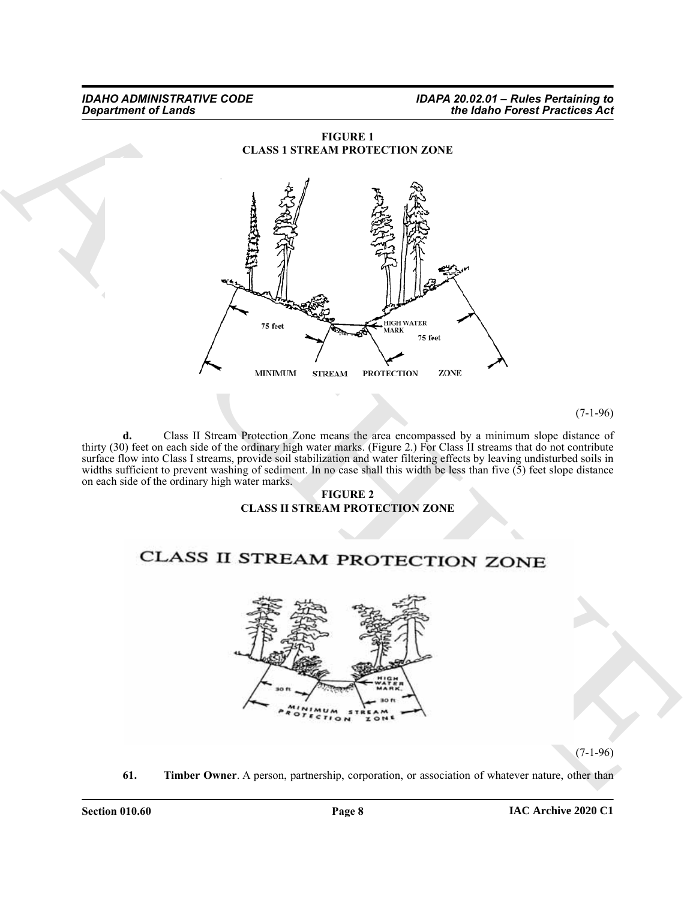

**d.** Class II Stream Protection Zone means the area encompassed by a minimum slope distance of thirty (30) feet on each side of the ordinary high water marks. (Figure 2.) For Class II streams that do not contribute surface flow into Class I streams, provide soil stabilization and water filtering effects by leaving undisturbed soils in widths sufficient to prevent washing of sediment. In no case shall this width be less than five  $(5)$  feet slope distance on each side of the ordinary high water marks.

#### **FIGURE 2 CLASS II STREAM PROTECTION ZONE**



 $(7-1-96)$ 

<span id="page-7-0"></span>**61. Timber Owner**. A person, partnership, corporation, or association of whatever nature, other than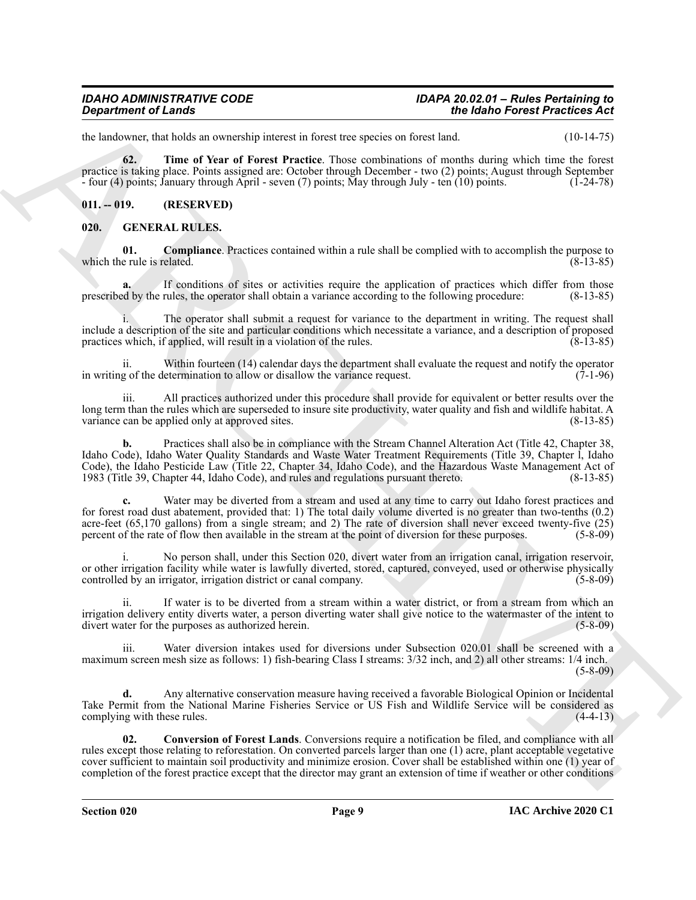<span id="page-8-2"></span>the landowner, that holds an ownership interest in forest tree species on forest land. (10-14-75)

**62. Time of Year of Forest Practice**. Those combinations of months during which time the forest practice is taking place. Points assigned are: October through December - two (2) points; August through September - four (4) points; January through April - seven (7) points; May through July - ten (10) points. (1-24-78) - four  $(4)$  points; January through April - seven  $(7)$  points; May through July - ten  $(10)$  points.

#### <span id="page-8-0"></span>**011. -- 019. (RESERVED)**

#### <span id="page-8-3"></span><span id="page-8-1"></span>**020. GENERAL RULES.**

<span id="page-8-4"></span>**01. Compliance**. Practices contained within a rule shall be complied with to accomplish the purpose to e rule is related. (8-13-85) which the rule is related.

If conditions of sites or activities require the application of practices which differ from those prescribed by the rules, the operator shall obtain a variance according to the following procedure: (8-13-85)

i. The operator shall submit a request for variance to the department in writing. The request shall include a description of the site and particular conditions which necessitate a variance, and a description of proposed practices which, if applied, will result in a violation of the rules. (8-13-85)

ii. Within fourteen (14) calendar days the department shall evaluate the request and notify the operator in writing of the determination to allow or disallow the variance request.

All practices authorized under this procedure shall provide for equivalent or better results over the long term than the rules which are superseded to insure site productivity, water quality and fish and wildlife habitat. A variance can be applied only at approved sites. variance can be applied only at approved sites.

**b.** Practices shall also be in compliance with the Stream Channel Alteration Act (Title 42, Chapter 38, Idaho Code), Idaho Water Quality Standards and Waste Water Treatment Requirements (Title 39, Chapter l, Idaho Code), the Idaho Pesticide Law (Title 22, Chapter 34, Idaho Code), and the Hazardous Waste Management Act of 1983 (Title 39, Chapter 44, Idaho Code), and rules and regulations pursuant thereto. (8-13-85) 1983 (Title 39, Chapter 44, Idaho Code), and rules and regulations pursuant thereto.

**Department of Leads were very set of the set of the set of the set of the set of the set of the set of the set of the set of the set of the set of the set of the set of the set of the set of the set of the set of the set c.** Water may be diverted from a stream and used at any time to carry out Idaho forest practices and for forest road dust abatement, provided that: 1) The total daily volume diverted is no greater than two-tenths (0.2) acre-feet (65,170 gallons) from a single stream; and 2) The rate of diversion shall never exceed twenty-five (25) percent of the rate of flow then available in the stream at the point of diversion for these purposes. (5-8-09)

No person shall, under this Section 020, divert water from an irrigation canal, irrigation reservoir, or other irrigation facility while water is lawfully diverted, stored, captured, conveyed, used or otherwise physically controlled by an irrigation, irrigation district or canal company. (5-8-09) controlled by an irrigator, irrigation district or canal company.

ii. If water is to be diverted from a stream within a water district, or from a stream from which an irrigation delivery entity diverts water, a person diverting water shall give notice to the watermaster of the intent to divert water for the purposes as authorized herein. (5-8-09)

iii. Water diversion intakes used for diversions under Subsection 020.01 shall be screened with a maximum screen mesh size as follows: 1) fish-bearing Class I streams: 3/32 inch, and 2) all other streams: 1/4 inch. (5-8-09)

**d.** Any alternative conservation measure having received a favorable Biological Opinion or Incidental Take Permit from the National Marine Fisheries Service or US Fish and Wildlife Service will be considered as complying with these rules. (4-4-13)

<span id="page-8-5"></span>**02. Conversion of Forest Lands**. Conversions require a notification be filed, and compliance with all rules except those relating to reforestation. On converted parcels larger than one (1) acre, plant acceptable vegetative cover sufficient to maintain soil productivity and minimize erosion. Cover shall be established within one (1) year of completion of the forest practice except that the director may grant an extension of time if weather or other conditions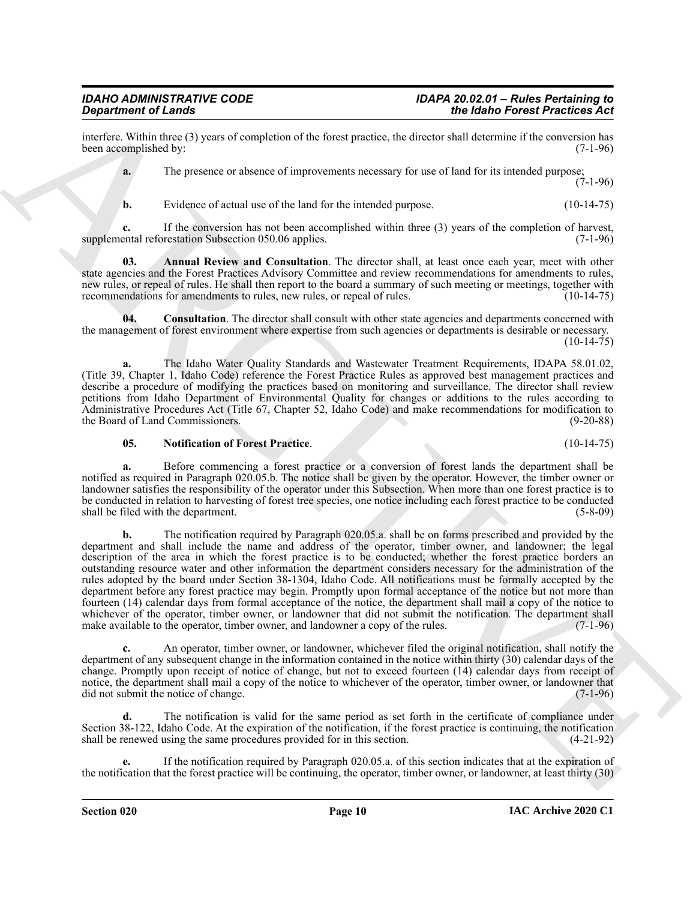interfere. Within three (3) years of completion of the forest practice, the director shall determine if the conversion has been accomplished by: (7-1-96) been accomplished by:

**a.** The presence or absence of improvements necessary for use of land for its intended purpose;  $(7-1-96)$ 

<span id="page-9-0"></span>**b.** Evidence of actual use of the land for the intended purpose. (10-14-75)

**c.** If the conversion has not been accomplished within three (3) years of the completion of harvest, supplemental reforestation Subsection 050.06 applies. (7-1-96)

**03. Annual Review and Consultation**. The director shall, at least once each year, meet with other state agencies and the Forest Practices Advisory Committee and review recommendations for amendments to rules, new rules, or repeal of rules. He shall then report to the board a summary of such meeting or meetings, together with recommendations for amendments to rules, new rules, or repeal of rules. (10-14-75)

<span id="page-9-1"></span>**04. Consultation**. The director shall consult with other state agencies and departments concerned with the management of forest environment where expertise from such agencies or departments is desirable or necessary.  $(10-14-75)$ 

**a.** The Idaho Water Quality Standards and Wastewater Treatment Requirements, IDAPA 58.01.02, (Title 39, Chapter 1, Idaho Code) reference the Forest Practice Rules as approved best management practices and describe a procedure of modifying the practices based on monitoring and surveillance. The director shall review petitions from Idaho Department of Environmental Quality for changes or additions to the rules according to Administrative Procedures Act (Title 67, Chapter 52, Idaho Code) and make recommendations for modification to the Board of Land Commissioners.

#### <span id="page-9-2"></span>**05. Notification of Forest Practice**. (10-14-75)

**a.** Before commencing a forest practice or a conversion of forest lands the department shall be notified as required in Paragraph 020.05.b. The notice shall be given by the operator. However, the timber owner or landowner satisfies the responsibility of the operator under this Subsection. When more than one forest practice is to be conducted in relation to harvesting of forest tree species, one notice including each forest practice to be conducted shall be filed with the department. (5-8-09)

**Since the control of the state of the state of the state of the state of the state of the state of the state of the state of the state of the state of the state of the state of the state of the state of the state of the b.** The notification required by Paragraph 020.05.a. shall be on forms prescribed and provided by the department and shall include the name and address of the operator, timber owner, and landowner; the legal description of the area in which the forest practice is to be conducted; whether the forest practice borders an outstanding resource water and other information the department considers necessary for the administration of the rules adopted by the board under Section 38-1304, Idaho Code. All notifications must be formally accepted by the department before any forest practice may begin. Promptly upon formal acceptance of the notice but not more than fourteen (14) calendar days from formal acceptance of the notice, the department shall mail a copy of the notice to whichever of the operator, timber owner, or landowner that did not submit the notification. The department shall make available to the operator, timber owner, and landowner a copy of the rules. (7-1-96) make available to the operator, timber owner, and landowner a copy of the rules.

**c.** An operator, timber owner, or landowner, whichever filed the original notification, shall notify the department of any subsequent change in the information contained in the notice within thirty (30) calendar days of the change. Promptly upon receipt of notice of change, but not to exceed fourteen (14) calendar days from receipt of notice, the department shall mail a copy of the notice to whichever of the operator, timber owner, or landowner that did not submit the notice of change. did not submit the notice of change.

The notification is valid for the same period as set forth in the certificate of compliance under Section 38-122, Idaho Code. At the expiration of the notification, if the forest practice is continuing, the notification shall be renewed using the same procedures provided for in this section. (4-21-92)

**e.** If the notification required by Paragraph 020.05.a. of this section indicates that at the expiration of the notification that the forest practice will be continuing, the operator, timber owner, or landowner, at least thirty (30)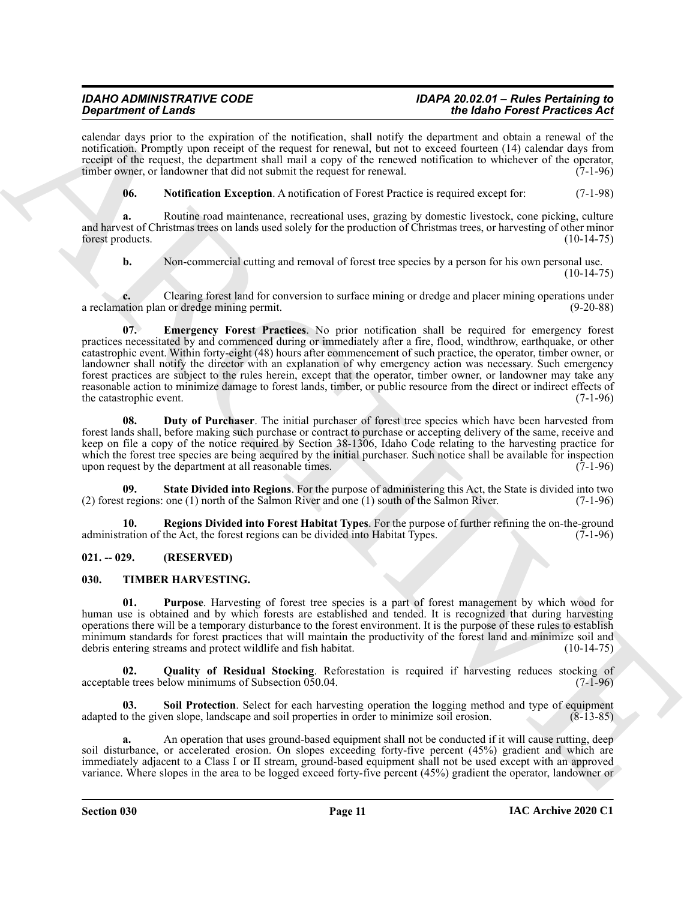calendar days prior to the expiration of the notification, shall notify the department and obtain a renewal of the notification. Promptly upon receipt of the request for renewal, but not to exceed fourteen (14) calendar days from receipt of the request, the department shall mail a copy of the renewed notification to whichever of the operator, timber owner, or landowner that did not submit the request for renewal. (7-1-96)

<span id="page-10-4"></span>**06. Notification Exception**. A notification of Forest Practice is required except for: (7-1-98)

**a.** Routine road maintenance, recreational uses, grazing by domestic livestock, cone picking, culture and harvest of Christmas trees on lands used solely for the production of Christmas trees, or harvesting of other minor forest products. (10-14-75)

<span id="page-10-3"></span>**b.** Non-commercial cutting and removal of forest tree species by a person for his own personal use.  $(10-14-75)$ 

Clearing forest land for conversion to surface mining or dredge and placer mining operations under<br>1 or dredge mining permit. (9-20-88) a reclamation plan or dredge mining permit.

**Strainer of Langelin strainers** and the mathematic method and probabilities the Mathematic method and the mathematic method in the mathematic method in the mathematic method in the mathematic method in the mathematic met **07. Emergency Forest Practices**. No prior notification shall be required for emergency forest practices necessitated by and commenced during or immediately after a fire, flood, windthrow, earthquake, or other catastrophic event. Within forty-eight (48) hours after commencement of such practice, the operator, timber owner, or landowner shall notify the director with an explanation of why emergency action was necessary. Such emergency forest practices are subject to the rules herein, except that the operator, timber owner, or landowner may take any reasonable action to minimize damage to forest lands, timber, or public resource from the direct or indirect effects of the catastrophic event. (7-1-96)

<span id="page-10-2"></span>**08. Duty of Purchaser**. The initial purchaser of forest tree species which have been harvested from forest lands shall, before making such purchase or contract to purchase or accepting delivery of the same, receive and keep on file a copy of the notice required by Section 38-1306, Idaho Code relating to the harvesting practice for which the forest tree species are being acquired by the initial purchaser. Such notice shall be available for inspection upon request by the department at all reasonable times.  $(7-1-96)$ upon request by the department at all reasonable times.

<span id="page-10-6"></span>**09. State Divided into Regions**. For the purpose of administering this Act, the State is divided into two (2) forest regions: one (1) north of the Salmon River and one (1) south of the Salmon River. (7-1-96)

<span id="page-10-5"></span>**10. Regions Divided into Forest Habitat Types**. For the purpose of further refining the on-the-ground ration of the Act, the forest regions can be divided into Habitat Types. (7-1-96) administration of the Act, the forest regions can be divided into Habitat Types.

### <span id="page-10-0"></span>**021. -- 029. (RESERVED)**

### <span id="page-10-7"></span><span id="page-10-1"></span>**030. TIMBER HARVESTING.**

<span id="page-10-8"></span>**01. Purpose**. Harvesting of forest tree species is a part of forest management by which wood for human use is obtained and by which forests are established and tended. It is recognized that during harvesting operations there will be a temporary disturbance to the forest environment. It is the purpose of these rules to establish minimum standards for forest practices that will maintain the productivity of the forest land and minimize soil and debris entering streams and protect wildlife and fish habitat. (10-14-75) debris entering streams and protect wildlife and fish habitat.

<span id="page-10-9"></span>**Quality of Residual Stocking**. Reforestation is required if harvesting reduces stocking of elow minimums of Subsection 050.04. acceptable trees below minimums of Subsection 050.04.

<span id="page-10-10"></span>**03. Soil Protection**. Select for each harvesting operation the logging method and type of equipment adapted to the given slope, landscape and soil properties in order to minimize soil erosion. (8-13-85)

**a.** An operation that uses ground-based equipment shall not be conducted if it will cause rutting, deep soil disturbance, or accelerated erosion. On slopes exceeding forty-five percent (45%) gradient and which are immediately adjacent to a Class I or II stream, ground-based equipment shall not be used except with an approved variance. Where slopes in the area to be logged exceed forty-five percent (45%) gradient the operator, landowner or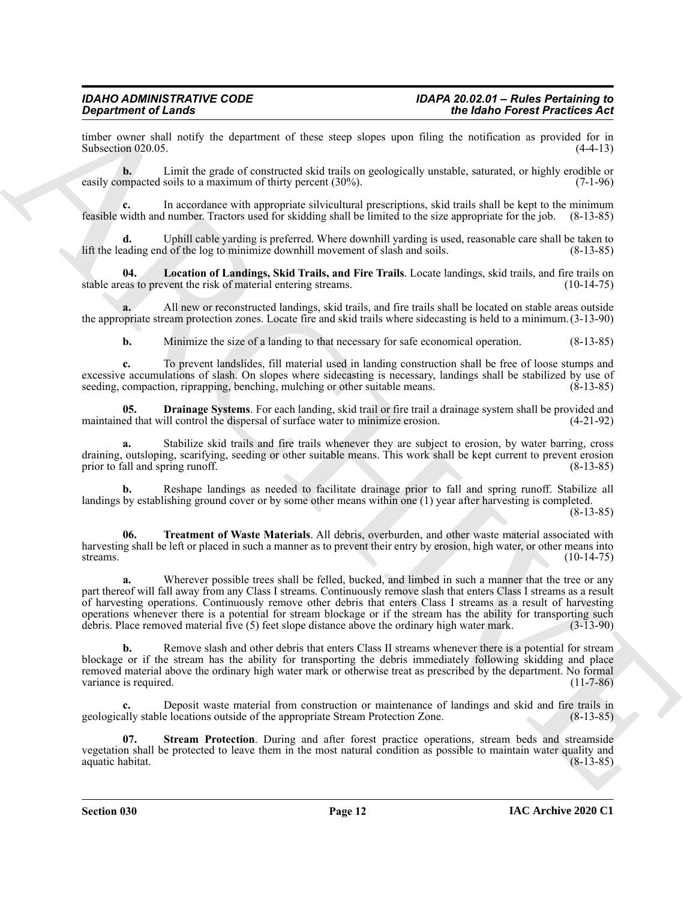timber owner shall notify the department of these steep slopes upon filing the notification as provided for in<br>Subsection 020.05. (4-4-13) Subsection 020.05.

**b.** Limit the grade of constructed skid trails on geologically unstable, saturated, or highly erodible or mpacted soils to a maximum of thirty percent (30%). (7-1-96) easily compacted soils to a maximum of thirty percent (30%).

**c.** In accordance with appropriate silvicultural prescriptions, skid trails shall be kept to the minimum width and number. Tractors used for skidding shall be limited to the size appropriate for the job. (8-13-85) feasible width and number. Tractors used for skidding shall be limited to the size appropriate for the job. (8-13-85)

Uphill cable yarding is preferred. Where downhill yarding is used, reasonable care shall be taken to d of the log to minimize downhill movement of slash and soils. (8-13-85) lift the leading end of the log to minimize downhill movement of slash and soils.

<span id="page-11-1"></span>**04. Location of Landings, Skid Trails, and Fire Trails**. Locate landings, skid trails, and fire trails on stable areas to prevent the risk of material entering streams.

**a.** All new or reconstructed landings, skid trails, and fire trails shall be located on stable areas outside the appropriate stream protection zones. Locate fire and skid trails where sidecasting is held to a minimum.(3-13-90)

<span id="page-11-0"></span>**b.** Minimize the size of a landing to that necessary for safe economical operation. (8-13-85)

**c.** To prevent landslides, fill material used in landing construction shall be free of loose stumps and excessive accumulations of slash. On slopes where sidecasting is necessary, landings shall be stabilized by use of seeding, compaction, riprapping, benching, mulching or other suitable means. (8-13-85) seeding, compaction, riprapping, benching, mulching or other suitable means.

**05. Drainage Systems**. For each landing, skid trail or fire trail a drainage system shall be provided and ed that will control the dispersal of surface water to minimize erosion. (4-21-92) maintained that will control the dispersal of surface water to minimize erosion.

**a.** Stabilize skid trails and fire trails whenever they are subject to erosion, by water barring, cross draining, outsloping, scarifying, seeding or other suitable means. This work shall be kept current to prevent erosion prior to fall and spring runoff. (8-13-85)

**b.** Reshape landings as needed to facilitate drainage prior to fall and spring runoff. Stabilize all landings by establishing ground cover or by some other means within one (1) year after harvesting is completed.

(8-13-85)

<span id="page-11-3"></span>**06. Treatment of Waste Materials**. All debris, overburden, and other waste material associated with harvesting shall be left or placed in such a manner as to prevent their entry by erosion, high water, or other means into streams.  $(10-14-75)$ 

**Signal means of Lemma<br>
Signal means of Lemma<br>
Signal means of Lemma Means where you tiline and the state of the state of the Signal means of the Signal means of the Signal means of the Signal means of the Signal means of a.** Wherever possible trees shall be felled, bucked, and limbed in such a manner that the tree or any part thereof will fall away from any Class I streams. Continuously remove slash that enters Class I streams as a result of harvesting operations. Continuously remove other debris that enters Class I streams as a result of harvesting operations whenever there is a potential for stream blockage or if the stream has the ability for transporting such debris. Place removed material five (5) feet slope distance above the ordinary high water mark. (3-13-90) debris. Place removed material five (5) feet slope distance above the ordinary high water mark.

**b.** Remove slash and other debris that enters Class II streams whenever there is a potential for stream blockage or if the stream has the ability for transporting the debris immediately following skidding and place removed material above the ordinary high water mark or otherwise treat as prescribed by the department. No formal variance is required.

**c.** Deposit waste material from construction or maintenance of landings and skid and fire trails in geologically stable locations outside of the appropriate Stream Protection Zone. (8-13-85)

<span id="page-11-2"></span>**07. Stream Protection**. During and after forest practice operations, stream beds and streamside vegetation shall be protected to leave them in the most natural condition as possible to maintain water quality and aquatic habitat.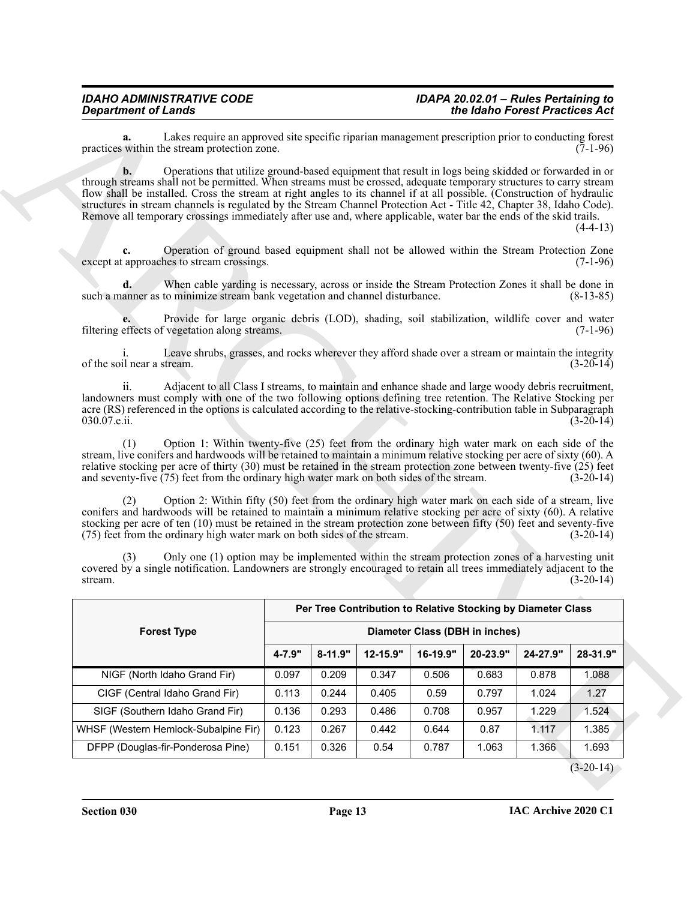| the Idaho Forest Practices Act                                                                                                                                                                                                                                                                                                                                                                                                                                                                                                                                                                                                      |                                |          |          |             |        | <b>Department of Lands</b>                                                                                                                                                                                                                                                                                                                                                                                                                             |
|-------------------------------------------------------------------------------------------------------------------------------------------------------------------------------------------------------------------------------------------------------------------------------------------------------------------------------------------------------------------------------------------------------------------------------------------------------------------------------------------------------------------------------------------------------------------------------------------------------------------------------------|--------------------------------|----------|----------|-------------|--------|--------------------------------------------------------------------------------------------------------------------------------------------------------------------------------------------------------------------------------------------------------------------------------------------------------------------------------------------------------------------------------------------------------------------------------------------------------|
| $(7-1-96)$                                                                                                                                                                                                                                                                                                                                                                                                                                                                                                                                                                                                                          |                                |          |          |             |        | Lakes require an approved site specific riparian management prescription prior to conducting forest<br>a.<br>practices within the stream protection zone.                                                                                                                                                                                                                                                                                              |
| Operations that utilize ground-based equipment that result in logs being skidded or forwarded in or<br>$\mathbf{b}$ .<br>through streams shall not be permitted. When streams must be crossed, adequate temporary structures to carry stream<br>flow shall be installed. Cross the stream at right angles to its channel if at all possible. (Construction of hydraulic<br>structures in stream channels is regulated by the Stream Channel Protection Act - Title 42, Chapter 38, Idaho Code).<br>Remove all temporary crossings immediately after use and, where applicable, water bar the ends of the skid trails.<br>$(4-4-13)$ |                                |          |          |             |        |                                                                                                                                                                                                                                                                                                                                                                                                                                                        |
| $(7-1-96)$                                                                                                                                                                                                                                                                                                                                                                                                                                                                                                                                                                                                                          |                                |          |          |             |        | Operation of ground based equipment shall not be allowed within the Stream Protection Zone<br>c.<br>except at approaches to stream crossings.                                                                                                                                                                                                                                                                                                          |
| $(8-13-85)$                                                                                                                                                                                                                                                                                                                                                                                                                                                                                                                                                                                                                         |                                |          |          |             |        | $\mathbf{d}$ .<br>When cable yarding is necessary, across or inside the Stream Protection Zones it shall be done in<br>such a manner as to minimize stream bank vegetation and channel disturbance.                                                                                                                                                                                                                                                    |
| $(7-1-96)$                                                                                                                                                                                                                                                                                                                                                                                                                                                                                                                                                                                                                          |                                |          |          |             |        | Provide for large organic debris (LOD), shading, soil stabilization, wildlife cover and water<br>filtering effects of vegetation along streams.                                                                                                                                                                                                                                                                                                        |
| $(3-20-14)$                                                                                                                                                                                                                                                                                                                                                                                                                                                                                                                                                                                                                         |                                |          |          |             |        | Leave shrubs, grasses, and rocks wherever they afford shade over a stream or maintain the integrity<br>of the soil near a stream.                                                                                                                                                                                                                                                                                                                      |
| $(3-20-14)$                                                                                                                                                                                                                                                                                                                                                                                                                                                                                                                                                                                                                         |                                |          |          |             |        | Adjacent to all Class I streams, to maintain and enhance shade and large woody debris recruitment,<br>ii.<br>landowners must comply with one of the two following options defining tree retention. The Relative Stocking per<br>acre (RS) referenced in the options is calculated according to the relative-stocking-contribution table in Subparagraph<br>030.07.e.ii.                                                                                |
| $(3-20-14)$                                                                                                                                                                                                                                                                                                                                                                                                                                                                                                                                                                                                                         |                                |          |          |             |        | Option 1: Within twenty-five (25) feet from the ordinary high water mark on each side of the<br>(1)<br>stream, live conifers and hardwoods will be retained to maintain a minimum relative stocking per acre of sixty (60). A<br>relative stocking per acre of thirty (30) must be retained in the stream protection zone between twenty-five (25) feet<br>and seventy-five $(75)$ feet from the ordinary high water mark on both sides of the stream. |
| $(3-20-14)$                                                                                                                                                                                                                                                                                                                                                                                                                                                                                                                                                                                                                         |                                |          |          |             |        | Option 2: Within fifty (50) feet from the ordinary high water mark on each side of a stream, live<br>(2)<br>conifers and hardwoods will be retained to maintain a minimum relative stocking per acre of sixty (60). A relative<br>stocking per acre of ten $(10)$ must be retained in the stream protection zone between fifty $(50)$ feet and seventy-five<br>(75) feet from the ordinary high water mark on both sides of the stream.                |
| $(3-20-14)$                                                                                                                                                                                                                                                                                                                                                                                                                                                                                                                                                                                                                         |                                |          |          |             |        | Only one (1) option may be implemented within the stream protection zones of a harvesting unit<br>(3)<br>covered by a single notification. Landowners are strongly encouraged to retain all trees immediately adjacent to the<br>stream.                                                                                                                                                                                                               |
| Per Tree Contribution to Relative Stocking by Diameter Class                                                                                                                                                                                                                                                                                                                                                                                                                                                                                                                                                                        |                                |          |          |             |        |                                                                                                                                                                                                                                                                                                                                                                                                                                                        |
|                                                                                                                                                                                                                                                                                                                                                                                                                                                                                                                                                                                                                                     | Diameter Class (DBH in inches) |          |          |             |        | <b>Forest Type</b>                                                                                                                                                                                                                                                                                                                                                                                                                                     |
| 24-27.9"<br>28-31.9"                                                                                                                                                                                                                                                                                                                                                                                                                                                                                                                                                                                                                | 20-23.9"                       | 16-19.9" | 12-15.9" | $8 - 11.9"$ | 4-7.9" |                                                                                                                                                                                                                                                                                                                                                                                                                                                        |
| 0.878<br>1.088                                                                                                                                                                                                                                                                                                                                                                                                                                                                                                                                                                                                                      | 0.683                          | 0.506    | 0.347    | 0.209       | 0.097  | NIGF (North Idaho Grand Fir)                                                                                                                                                                                                                                                                                                                                                                                                                           |
| 1.024<br>1.27                                                                                                                                                                                                                                                                                                                                                                                                                                                                                                                                                                                                                       | 0.797                          | 0.59     | 0.405    | 0.244       | 0.113  | CIGF (Central Idaho Grand Fir)                                                                                                                                                                                                                                                                                                                                                                                                                         |
| 1.524<br>1.229                                                                                                                                                                                                                                                                                                                                                                                                                                                                                                                                                                                                                      | 0.957                          | 0.708    | 0.486    | 0.293       | 0.136  | SIGF (Southern Idaho Grand Fir)                                                                                                                                                                                                                                                                                                                                                                                                                        |
|                                                                                                                                                                                                                                                                                                                                                                                                                                                                                                                                                                                                                                     | 0.87                           | 0.644    | 0.442    | 0.267       | 0.123  | WHSF (Western Hemlock-Subalpine Fir)                                                                                                                                                                                                                                                                                                                                                                                                                   |
| 1.117<br>1.385                                                                                                                                                                                                                                                                                                                                                                                                                                                                                                                                                                                                                      |                                |          |          |             |        |                                                                                                                                                                                                                                                                                                                                                                                                                                                        |

 $(3-20-14)$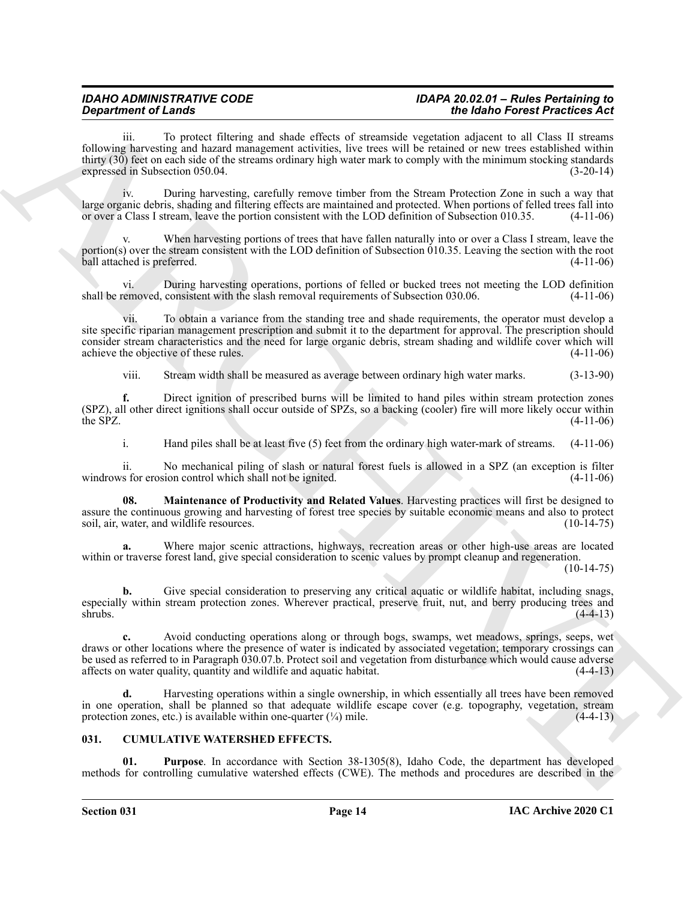To protect filtering and shade effects of streamside vegetation adjacent to all Class II streams following harvesting and hazard management activities, live trees will be retained or new trees established within thirty (30) feet on each side of the streams ordinary high water mark to comply with the minimum stocking standards expressed in Subsection 050.04. (3-20-14)

iv. During harvesting, carefully remove timber from the Stream Protection Zone in such a way that large organic debris, shading and filtering effects are maintained and protected. When portions of felled trees fall into or over a Class I stream, leave the portion consistent with the LOD definition of Subsection 010.35. (4-11-06)

When harvesting portions of trees that have fallen naturally into or over a Class I stream, leave the portion(s) over the stream consistent with the LOD definition of Subsection 010.35. Leaving the section with the root ball attached is preferred. (4-11-06) ball attached is preferred.

vi. During harvesting operations, portions of felled or bucked trees not meeting the LOD definition shall be removed, consistent with the slash removal requirements of Subsection 030.06. (4-11-06)

**Equiries of Lands<br>
Consider the Color State of Active Manuschi variables where the Addition of the Color State of Active<br>
16. The results of the transmitted where the color State of Active Manuschi variables where the Ma** vii. To obtain a variance from the standing tree and shade requirements, the operator must develop a site specific riparian management prescription and submit it to the department for approval. The prescription should consider stream characteristics and the need for large organic debris, stream shading and wildlife cover which will achieve the objective of these rules. (4-11-06)

viii. Stream width shall be measured as average between ordinary high water marks. (3-13-90)

**f.** Direct ignition of prescribed burns will be limited to hand piles within stream protection zones (SPZ), all other direct ignitions shall occur outside of SPZs, so a backing (cooler) fire will more likely occur within the SPZ.  $(4-11-06)$ 

<span id="page-13-3"></span>i. Hand piles shall be at least five (5) feet from the ordinary high water-mark of streams. (4-11-06)

ii. No mechanical piling of slash or natural forest fuels is allowed in a SPZ (an exception is filter windrows for erosion control which shall not be ignited. (4-11-06)

**08. Maintenance of Productivity and Related Values**. Harvesting practices will first be designed to assure the continuous growing and harvesting of forest tree species by suitable economic means and also to protect soil, air, water, and wildlife resources. (10-14-75) soil, air, water, and wildlife resources.

**a.** Where major scenic attractions, highways, recreation areas or other high-use areas are located within or traverse forest land, give special consideration to scenic values by prompt cleanup and regeneration.

 $(10-14-75)$ 

**b.** Give special consideration to preserving any critical aquatic or wildlife habitat, including snags, especially within stream protection zones. Wherever practical, preserve fruit, nut, and berry producing trees and  $\mathsf{shrubs.}$  (4-4-13)

**c.** Avoid conducting operations along or through bogs, swamps, wet meadows, springs, seeps, wet draws or other locations where the presence of water is indicated by associated vegetation; temporary crossings can be used as referred to in Paragraph 030.07.b. Protect soil and vegetation from disturbance which would cause adverse affects on water quality, quantity and wildlife and aquatic habitat. (4-4-13)

**d.** Harvesting operations within a single ownership, in which essentially all trees have been removed in one operation, shall be planned so that adequate wildlife escape cover (e.g. topography, vegetation, stream protection zones, etc.) is available within one-quarter  $(\frac{1}{4})$  mile. (4-4-13)

### <span id="page-13-1"></span><span id="page-13-0"></span>**031. CUMULATIVE WATERSHED EFFECTS.**

<span id="page-13-2"></span>**01. Purpose**. In accordance with Section 38-1305(8), Idaho Code, the department has developed methods for controlling cumulative watershed effects (CWE). The methods and procedures are described in the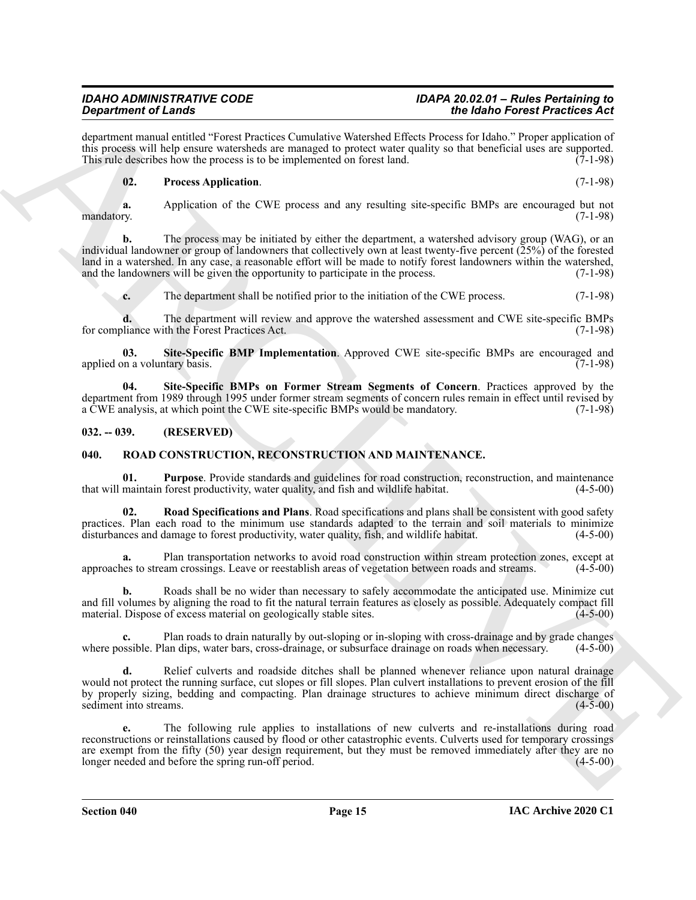department manual entitled "Forest Practices Cumulative Watershed Effects Process for Idaho." Proper application of this process will help ensure watersheds are managed to protect water quality so that beneficial uses are supported.<br>This rule describes how the process is to be implemented on forest land. (7-1-98) This rule describes how the process is to be implemented on forest land.

#### <span id="page-14-2"></span>**02. Process Application**. (7-1-98)

**a.** Application of the CWE process and any resulting site-specific BMPs are encouraged but not mandatory. (7-1-98) mandatory. (7-1-98)

**Significant of Lineary Constitution**, the specifical state of the **Main Constitution** of the specifical state of the **CONSTITUTION** of the specifical state of the specifical state of the specifical state of the specifica **b.** The process may be initiated by either the department, a watershed advisory group (WAG), or an individual landowner or group of landowners that collectively own at least twenty-five percent (25%) of the forested land in a watershed. In any case, a reasonable effort will be made to notify forest landowners within the watershed, and the landowners will be given the opportunity to participate in the process. (7-1-98) and the landowners will be given the opportunity to participate in the process.

<span id="page-14-3"></span>**c.** The department shall be notified prior to the initiation of the CWE process. (7-1-98)

**d.** The department will review and approve the watershed assessment and CWE site-specific BMPs liance with the Forest Practices Act. (7-1-98) for compliance with the Forest Practices Act.

**03.** Site-Specific BMP Implementation. Approved CWE site-specific BMPs are encouraged and on a voluntary basis. (7-1-98) applied on a voluntary basis.

<span id="page-14-4"></span>**04. Site-Specific BMPs on Former Stream Segments of Concern**. Practices approved by the department from 1989 through 1995 under former stream segments of concern rules remain in effect until revised by a CWE analysis, at which point the CWE site-specific BMPs would be mandatory. (7-1-98)

#### <span id="page-14-0"></span>**032. -- 039. (RESERVED)**

#### <span id="page-14-5"></span><span id="page-14-1"></span>**040. ROAD CONSTRUCTION, RECONSTRUCTION AND MAINTENANCE.**

<span id="page-14-6"></span>**01. Purpose**. Provide standards and guidelines for road construction, reconstruction, and maintenance maintain forest productivity, water quality, and fish and wildlife habitat. (4-5-00) that will maintain forest productivity, water quality, and fish and wildlife habitat.

<span id="page-14-7"></span>**02. Road Specifications and Plans**. Road specifications and plans shall be consistent with good safety practices. Plan each road to the minimum use standards adapted to the terrain and soil materials to minimize disturbances and damage to forest productivity, water quality, fish, and wildlife habitat. (4-5-00) disturbances and damage to forest productivity, water quality, fish, and wildlife habitat.

**a.** Plan transportation networks to avoid road construction within stream protection zones, except at les to stream crossings. Leave or reestablish areas of vegetation between roads and streams. (4-5-00) approaches to stream crossings. Leave or reestablish areas of vegetation between roads and streams.

**b.** Roads shall be no wider than necessary to safely accommodate the anticipated use. Minimize cut and fill volumes by aligning the road to fit the natural terrain features as closely as possible. Adequately compact fill material. Dispose of excess material on geologically stable sites. (4-5-00)

**c.** Plan roads to drain naturally by out-sloping or in-sloping with cross-drainage and by grade changes possible. Plan dips, water bars, cross-drainage, or subsurface drainage on roads when necessary. (4-5-00) where possible. Plan dips, water bars, cross-drainage, or subsurface drainage on roads when necessary.

Relief culverts and roadside ditches shall be planned whenever reliance upon natural drainage would not protect the running surface, cut slopes or fill slopes. Plan culvert installations to prevent erosion of the fill by properly sizing, bedding and compacting. Plan drainage structures to achieve minimum direct discharge of sediment into streams. (4-5-00) sediment into streams.

**e.** The following rule applies to installations of new culverts and re-installations during road reconstructions or reinstallations caused by flood or other catastrophic events. Culverts used for temporary crossings are exempt from the fifty (50) year design requirement, but they must be removed immediately after they are no<br>longer needed and before the spring run-off period.  $(4-5-00)$ longer needed and before the spring run-off period.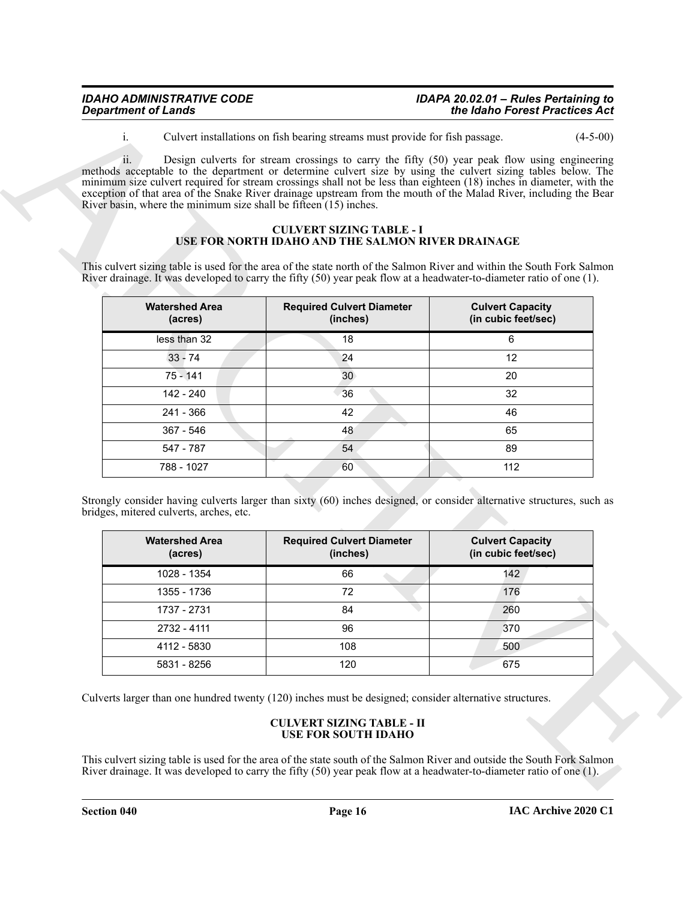| <b>IDAHO ADMINISTRATIVE CODE</b> | IDAPA 20.02.01 - Rules Pertaining to |
|----------------------------------|--------------------------------------|
| <b>Department of Lands</b>       | the Idaho Forest Practices Act       |

#### <span id="page-15-0"></span>**CULVERT SIZING TABLE - I USE FOR NORTH IDAHO AND THE SALMON RIVER DRAINAGE**

|                                                                             | Design culverts for stream crossings to carry the fifty (50) year peak flow using engineering<br>methods acceptable to the department or determine culvert size by using the culvert sizing tables below. The<br>minimum size culvert required for stream crossings shall not be less than eighteen (18) inches in diameter, with the<br>exception of that area of the Snake River drainage upstream from the mouth of the Malad River, including the Bear<br>River basin, where the minimum size shall be fifteen $(15)$ inches.<br><b>CULVERT SIZING TABLE - I</b><br><b>USE FOR NORTH IDAHO AND THE SALMON RIVER DRAINAGE</b> |                                                |
|-----------------------------------------------------------------------------|----------------------------------------------------------------------------------------------------------------------------------------------------------------------------------------------------------------------------------------------------------------------------------------------------------------------------------------------------------------------------------------------------------------------------------------------------------------------------------------------------------------------------------------------------------------------------------------------------------------------------------|------------------------------------------------|
|                                                                             | This culvert sizing table is used for the area of the state north of the Salmon River and within the South Fork Salmon<br>River drainage. It was developed to carry the fifty (50) year peak flow at a headwater-to-diameter ratio of one (1).                                                                                                                                                                                                                                                                                                                                                                                   |                                                |
| <b>Watershed Area</b><br>(acres)                                            | <b>Required Culvert Diameter</b><br>(inches)                                                                                                                                                                                                                                                                                                                                                                                                                                                                                                                                                                                     | <b>Culvert Capacity</b><br>(in cubic feet/sec) |
| less than 32                                                                | 18                                                                                                                                                                                                                                                                                                                                                                                                                                                                                                                                                                                                                               | 6                                              |
| $33 - 74$                                                                   | 24                                                                                                                                                                                                                                                                                                                                                                                                                                                                                                                                                                                                                               | 12                                             |
| $75 - 141$                                                                  | 30                                                                                                                                                                                                                                                                                                                                                                                                                                                                                                                                                                                                                               | 20                                             |
| 142 - 240                                                                   | 36                                                                                                                                                                                                                                                                                                                                                                                                                                                                                                                                                                                                                               | 32                                             |
| 241 - 366                                                                   | 42                                                                                                                                                                                                                                                                                                                                                                                                                                                                                                                                                                                                                               | 46                                             |
| 367 - 546                                                                   | 48                                                                                                                                                                                                                                                                                                                                                                                                                                                                                                                                                                                                                               | 65                                             |
| 547 - 787                                                                   | 54                                                                                                                                                                                                                                                                                                                                                                                                                                                                                                                                                                                                                               | 89                                             |
| 788 - 1027                                                                  | 60                                                                                                                                                                                                                                                                                                                                                                                                                                                                                                                                                                                                                               | 112                                            |
| bridges, mitered culverts, arches, etc.<br><b>Watershed Area</b><br>(acres) | Strongly consider having culverts larger than sixty (60) inches designed, or consider alternative structures, such as<br><b>Required Culvert Diameter</b><br>(inches)                                                                                                                                                                                                                                                                                                                                                                                                                                                            | <b>Culvert Capacity</b><br>(in cubic feet/sec) |
| 1028 - 1354                                                                 | 66                                                                                                                                                                                                                                                                                                                                                                                                                                                                                                                                                                                                                               | 142                                            |
| 1355 - 1736                                                                 | 72                                                                                                                                                                                                                                                                                                                                                                                                                                                                                                                                                                                                                               | 176                                            |
| 1737 - 2731                                                                 | 84                                                                                                                                                                                                                                                                                                                                                                                                                                                                                                                                                                                                                               | 260                                            |
|                                                                             | 96                                                                                                                                                                                                                                                                                                                                                                                                                                                                                                                                                                                                                               | 370                                            |
| 2732 - 4111                                                                 |                                                                                                                                                                                                                                                                                                                                                                                                                                                                                                                                                                                                                                  |                                                |
| 4112 - 5830                                                                 | 108                                                                                                                                                                                                                                                                                                                                                                                                                                                                                                                                                                                                                              | 500                                            |
| 5831 - 8256                                                                 | 120                                                                                                                                                                                                                                                                                                                                                                                                                                                                                                                                                                                                                              | 675                                            |

| <b>Watershed Area</b><br>(acres) | <b>Required Culvert Diameter</b><br>(inches) | <b>Culvert Capacity</b><br>(in cubic feet/sec) |
|----------------------------------|----------------------------------------------|------------------------------------------------|
| 1028 - 1354                      | 66                                           | 142                                            |
| 1355 - 1736                      | 72                                           | 176                                            |
| 1737 - 2731                      | 84                                           | 260                                            |
| 2732 - 4111                      | 96                                           | 370                                            |
| 4112 - 5830                      | 108                                          | 500                                            |
| 5831 - 8256                      | 120                                          | 675                                            |

#### <span id="page-15-1"></span>**CULVERT SIZING TABLE - II USE FOR SOUTH IDAHO**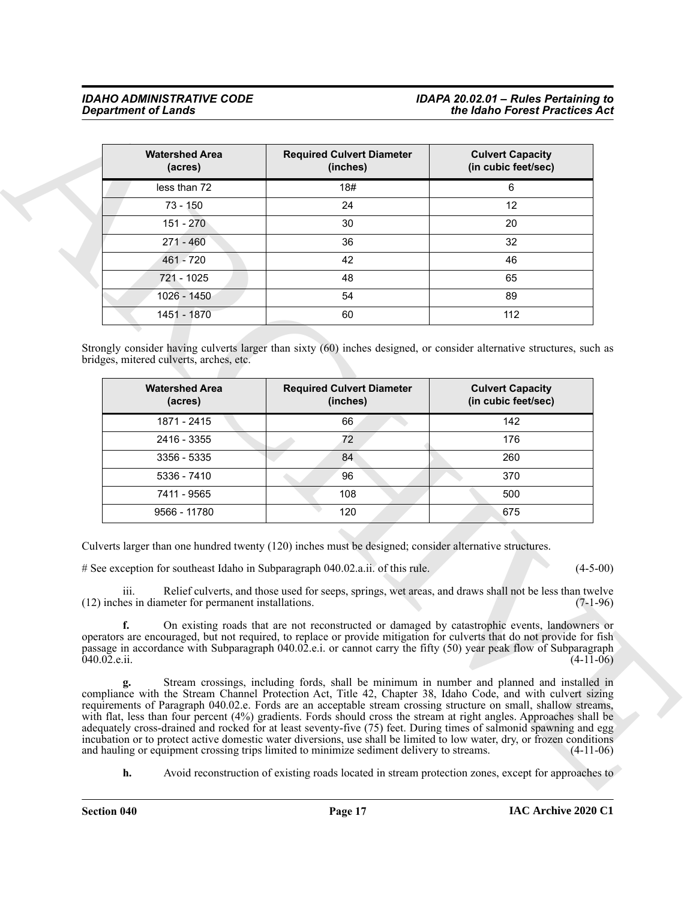| <b>Watershed Area</b><br>(acres)                                                                                                                                                                                                                                | <b>Required Culvert Diameter</b><br>(inches)                                                                                                                                                                                                                                                                                      | <b>Culvert Capacity</b><br>(in cubic feet/sec) |
|-----------------------------------------------------------------------------------------------------------------------------------------------------------------------------------------------------------------------------------------------------------------|-----------------------------------------------------------------------------------------------------------------------------------------------------------------------------------------------------------------------------------------------------------------------------------------------------------------------------------|------------------------------------------------|
| less than 72                                                                                                                                                                                                                                                    | 18#                                                                                                                                                                                                                                                                                                                               | 6                                              |
| 73 - 150                                                                                                                                                                                                                                                        | 24                                                                                                                                                                                                                                                                                                                                | 12                                             |
| $151 - 270$                                                                                                                                                                                                                                                     | 30                                                                                                                                                                                                                                                                                                                                | 20                                             |
| 271 - 460                                                                                                                                                                                                                                                       | 36                                                                                                                                                                                                                                                                                                                                | 32                                             |
| 461 - 720                                                                                                                                                                                                                                                       | 42                                                                                                                                                                                                                                                                                                                                | 46                                             |
| 721 - 1025                                                                                                                                                                                                                                                      | 48                                                                                                                                                                                                                                                                                                                                | 65                                             |
| 1026 - 1450                                                                                                                                                                                                                                                     | 54                                                                                                                                                                                                                                                                                                                                | 89                                             |
| 1451 - 1870                                                                                                                                                                                                                                                     | 60                                                                                                                                                                                                                                                                                                                                | 112                                            |
| 1871 - 2415                                                                                                                                                                                                                                                     | 66                                                                                                                                                                                                                                                                                                                                | 142                                            |
| <b>Watershed Area</b><br>(acres)                                                                                                                                                                                                                                | <b>Required Culvert Diameter</b><br>(inches)                                                                                                                                                                                                                                                                                      | <b>Culvert Capacity</b><br>(in cubic feet/sec) |
|                                                                                                                                                                                                                                                                 |                                                                                                                                                                                                                                                                                                                                   |                                                |
| 2416 - 3355                                                                                                                                                                                                                                                     | 72                                                                                                                                                                                                                                                                                                                                | 176                                            |
| 3356 - 5335                                                                                                                                                                                                                                                     | 84                                                                                                                                                                                                                                                                                                                                | 260                                            |
| 5336 - 7410                                                                                                                                                                                                                                                     | 96                                                                                                                                                                                                                                                                                                                                | 370                                            |
| 7411 - 9565                                                                                                                                                                                                                                                     | 108                                                                                                                                                                                                                                                                                                                               | 500                                            |
| 9566 - 11780                                                                                                                                                                                                                                                    | 120                                                                                                                                                                                                                                                                                                                               | 675                                            |
| Culverts larger than one hundred twenty (120) inches must be designed; consider alternative structures.<br># See exception for southeast Idaho in Subparagraph 040.02.a.ii. of this rule.<br>111.<br>(12) inches in diameter for permanent installations.<br>f. | Relief culverts, and those used for seeps, springs, wet areas, and draws shall not be less than twelve<br>On existing roads that are not reconstructed or damaged by catastrophic events, landowners or<br>operators are encouraged, but not required, to replace or provide mitigation for culverts that do not provide for fish | $(4-5-00)$<br>$(7-1-96)$                       |
| passage in accordance with Subparagraph 040.02.e.i. or cannot carry the fifty (50) year peak flow of Subparagraph<br>$040.02$ .e.ii.                                                                                                                            |                                                                                                                                                                                                                                                                                                                                   | $(4-11-06)$                                    |

| <b>Watershed Area</b><br>(acres) | <b>Required Culvert Diameter</b><br>(inches) | <b>Culvert Capacity</b><br>(in cubic feet/sec) |
|----------------------------------|----------------------------------------------|------------------------------------------------|
| 1871 - 2415                      | 66                                           | 142                                            |
| 2416 - 3355                      | 72.                                          | 176                                            |
| 3356 - 5335                      | 84                                           | 260                                            |
| 5336 - 7410                      | 96                                           | 370                                            |
| 7411 - 9565                      | 108                                          | 500                                            |
| 9566 - 11780                     | 120                                          | 675                                            |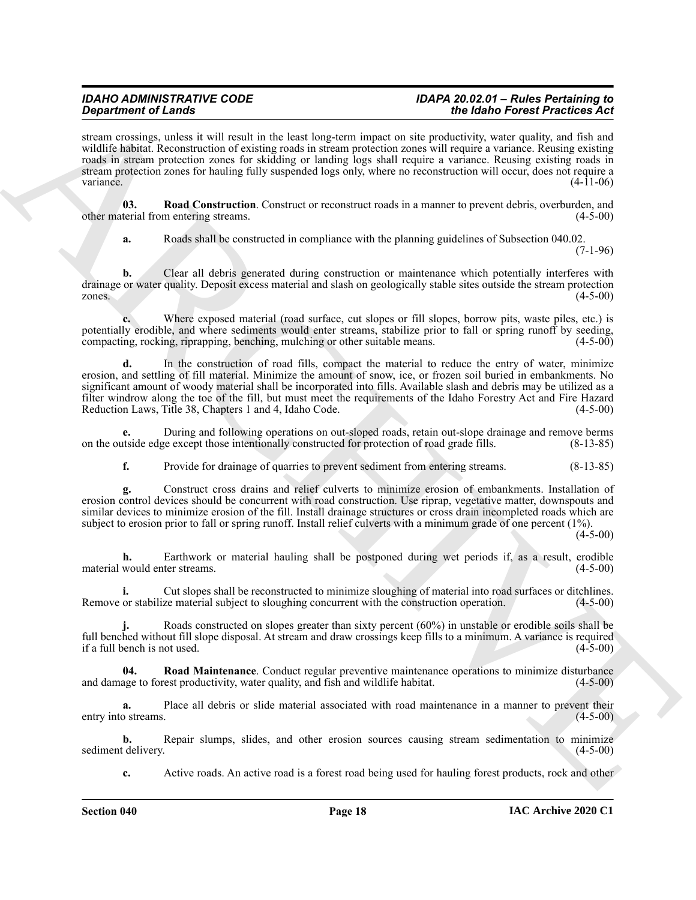#### *IDAHO ADMINISTRATIVE CODE IDAPA 20.02.01 – Rules Pertaining to Department of Lands the Idaho Forest Practices Act*

stream crossings, unless it will result in the least long-term impact on site productivity, water quality, and fish and wildlife habitat. Reconstruction of existing roads in stream protection zones will require a variance. Reusing existing roads in stream protection zones for skidding or landing logs shall require a variance. Reusing existing roads in stream protection zones for hauling fully suspended logs only, where no reconstruction will occur, does not require a variance.  $(4-11-06)$ 

**03.** Road Construction. Construct or reconstruct roads in a manner to prevent debris, overburden, and terial from entering streams. other material from entering streams.

<span id="page-17-0"></span>**a.** Roads shall be constructed in compliance with the planning guidelines of Subsection 040.02.

(7-1-96)

**b.** Clear all debris generated during construction or maintenance which potentially interferes with drainage or water quality. Deposit excess material and slash on geologically stable sites outside the stream protection zones.  $(4-5-00)$ 

**c.** Where exposed material (road surface, cut slopes or fill slopes, borrow pits, waste piles, etc.) is potentially erodible, and where sediments would enter streams, stabilize prior to fall or spring runoff by seeding, compacting, rocking, riprapping, benching, mulching or other suitable means. (4-5-00)

**Experimented Construction** of the local method, the set which the set which the construction of the set of the set of the set of the set of the set of the set of the set of the set of the set of the set of the set of the **d.** In the construction of road fills, compact the material to reduce the entry of water, minimize erosion, and settling of fill material. Minimize the amount of snow, ice, or frozen soil buried in embankments. No significant amount of woody material shall be incorporated into fills. Available slash and debris may be utilized as a filter windrow along the toe of the fill, but must meet the requirements of the Idaho Forestry Act and Fire Hazard Reduction Laws, Title 38, Chapters 1 and 4, Idaho Code. (4-5-00)

**e.** During and following operations on out-sloped roads, retain out-slope drainage and remove berms utside edge except those intentionally constructed for protection of road grade fills. (8-13-85) on the outside edge except those intentionally constructed for protection of road grade fills.

**f.** Provide for drainage of quarries to prevent sediment from entering streams. (8-13-85)

**g.** Construct cross drains and relief culverts to minimize erosion of embankments. Installation of erosion control devices should be concurrent with road construction. Use riprap, vegetative matter, downspouts and similar devices to minimize erosion of the fill. Install drainage structures or cross drain incompleted roads which are subject to erosion prior to fall or spring runoff. Install relief culverts with a minimum grade of one percent (1%).

(4-5-00)

**h.** Earthwork or material hauling shall be postponed during wet periods if, as a result, erodible material would enter streams. (4-5-00)

**i.** Cut slopes shall be reconstructed to minimize sloughing of material into road surfaces or ditchlines. Remove or stabilize material subject to sloughing concurrent with the construction operation. (4-5-00)

Roads constructed on slopes greater than sixty percent (60%) in unstable or erodible soils shall be full benched without fill slope disposal. At stream and draw crossings keep fills to a minimum. A variance is required if a full bench is not used. (4-5-00) if a full bench is not used.

<span id="page-17-1"></span>**Road Maintenance**. Conduct regular preventive maintenance operations to minimize disturbance and damage to forest productivity, water quality, and fish and wildlife habitat. (4-5-00)

**a.** Place all debris or slide material associated with road maintenance in a manner to prevent their entry into streams. (4-5-00)

**b.** Repair slumps, slides, and other erosion sources causing stream sedimentation to minimize t delivery. (4-5-00) sediment delivery.

**c.** Active roads. An active road is a forest road being used for hauling forest products, rock and other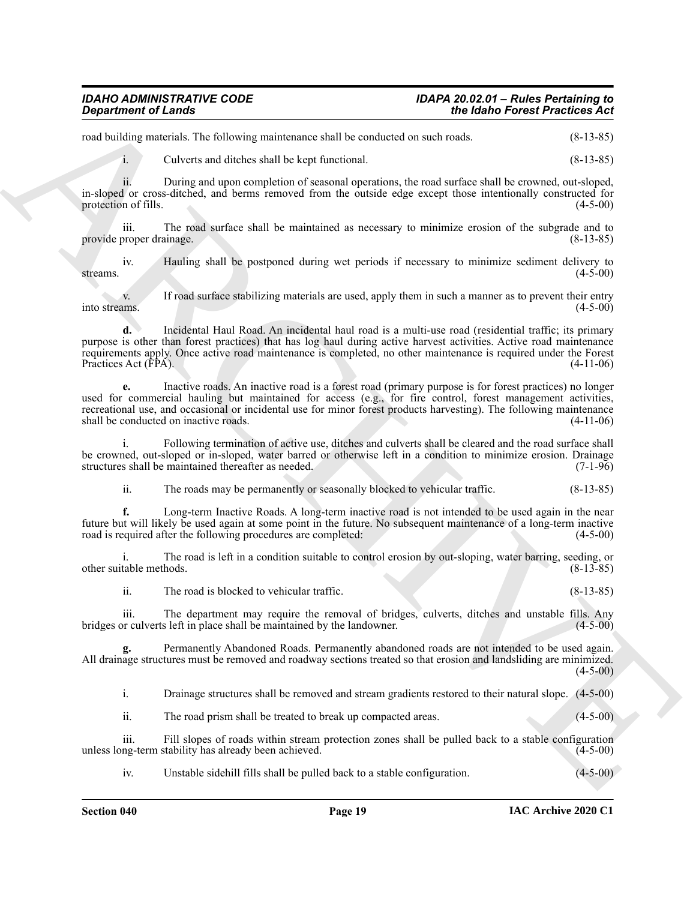road building materials. The following maintenance shall be conducted on such roads. (8-13-85)

i. Culverts and ditches shall be kept functional. (8-13-85)

ii. During and upon completion of seasonal operations, the road surface shall be crowned, out-sloped, in-sloped or cross-ditched, and berms removed from the outside edge except those intentionally constructed for protection of fills.

iii. The road surface shall be maintained as necessary to minimize erosion of the subgrade and to provide proper drainage. (8-13-85)

iv. Hauling shall be postponed during wet periods if necessary to minimize sediment delivery to streams.  $(4-5-00)$ 

v. If road surface stabilizing materials are used, apply them in such a manner as to prevent their entry into streams. (4-5-00)

**Expansion of Lensie \*\*\*\*\*\*\*\*\*** the Main Franchise of the Main Franchise Construction of the Main Franchise Construction (E-13-45)<br>
And the main state of the Main Franchise Construction of the Main Franchise (E-13-45)<br>
an **d.** Incidental Haul Road. An incidental haul road is a multi-use road (residential traffic; its primary purpose is other than forest practices) that has log haul during active harvest activities. Active road maintenance requirements apply. Once active road maintenance is completed, no other maintenance is required under the Forest Practices Act (FPA).

**e.** Inactive roads. An inactive road is a forest road (primary purpose is for forest practices) no longer used for commercial hauling but maintained for access (e.g., for fire control, forest management activities, recreational use, and occasional or incidental use for minor forest products harvesting). The following maintenance shall be conducted on inactive roads. (4-11-06) shall be conducted on inactive roads.

i. Following termination of active use, ditches and culverts shall be cleared and the road surface shall be crowned, out-sloped or in-sloped, water barred or otherwise left in a condition to minimize erosion. Drainage structures shall be maintained thereafter as needed. (7-1-96) structures shall be maintained thereafter as needed.

ii. The roads may be permanently or seasonally blocked to vehicular traffic. (8-13-85)

**f.** Long-term Inactive Roads. A long-term inactive road is not intended to be used again in the near future but will likely be used again at some point in the future. No subsequent maintenance of a long-term inactive road is required after the following procedures are completed:

i. The road is left in a condition suitable to control erosion by out-sloping, water barring, seeding, or other suitable methods. (8-13-85)

ii. The road is blocked to vehicular traffic. (8-13-85)

iii. The department may require the removal of bridges, culverts, ditches and unstable fills. Any or culverts left in place shall be maintained by the landowner. (4-5-00) bridges or culverts left in place shall be maintained by the landowner.

**g.** Permanently Abandoned Roads. Permanently abandoned roads are not intended to be used again. All drainage structures must be removed and roadway sections treated so that erosion and landsliding are minimized.  $(4-5-00)$ 

i. Drainage structures shall be removed and stream gradients restored to their natural slope. (4-5-00)

ii. The road prism shall be treated to break up compacted areas. (4-5-00)

iii. Fill slopes of roads within stream protection zones shall be pulled back to a stable configuration unless long-term stability has already been achieved.

iv. Unstable sidehill fills shall be pulled back to a stable configuration. (4-5-00)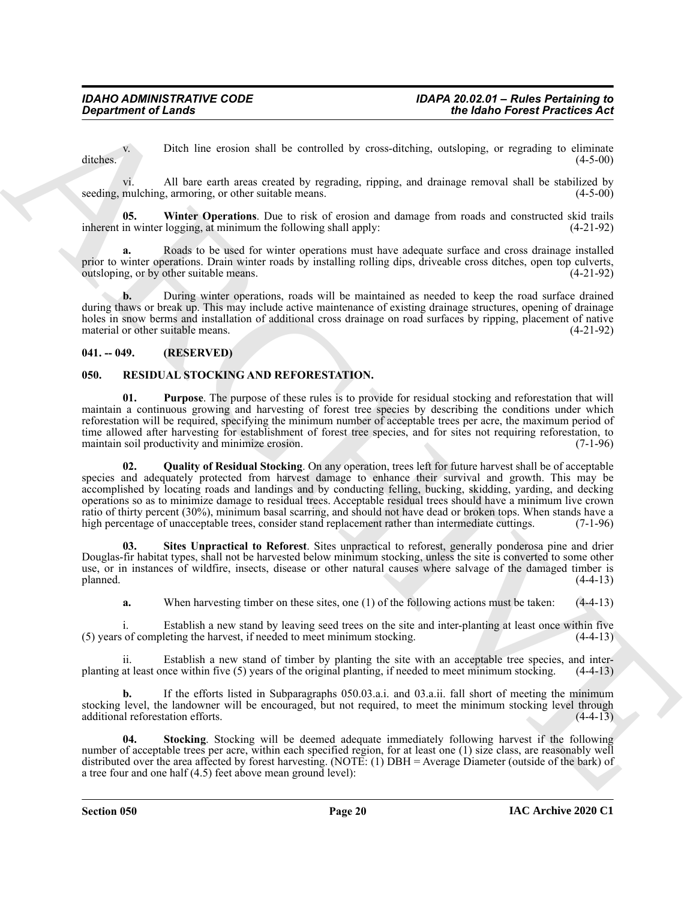v. Ditch line erosion shall be controlled by cross-ditching, outsloping, or regrading to eliminate ditches. (4-5-00)

vi. All bare earth areas created by regrading, ripping, and drainage removal shall be stabilized by seeding, mulching, armoring, or other suitable means. (4-5-00)

<span id="page-19-7"></span>**05. Winter Operations**. Due to risk of erosion and damage from roads and constructed skid trails inherent in winter logging, at minimum the following shall apply: (4-21-92)

**a.** Roads to be used for winter operations must have adequate surface and cross drainage installed prior to winter operations. Drain winter roads by installing rolling dips, driveable cross ditches, open top culverts, outsloping, or by other suitable means. outsloping, or by other suitable means.

**b.** During winter operations, roads will be maintained as needed to keep the road surface drained during thaws or break up. This may include active maintenance of existing drainage structures, opening of drainage holes in snow berms and installation of additional cross drainage on road surfaces by ripping, placement of native material or other suitable means. (4-21-92) material or other suitable means.

#### <span id="page-19-0"></span>**041. -- 049. (RESERVED)**

### <span id="page-19-2"></span><span id="page-19-1"></span>**050. RESIDUAL STOCKING AND REFORESTATION.**

<span id="page-19-4"></span><span id="page-19-3"></span>**01. Purpose**. The purpose of these rules is to provide for residual stocking and reforestation that will maintain a continuous growing and harvesting of forest tree species by describing the conditions under which reforestation will be required, specifying the minimum number of acceptable trees per acre, the maximum period of time allowed after harvesting for establishment of forest tree species, and for sites not requiring reforestation, to maintain soil productivity and minimize erosion. maintain soil productivity and minimize erosion.

**Expansion of Lendary<br>
Chiedrift Chienes were used to consider by considerably considered process in the spin of the spin of the spin of the spin of the spin of the spin of the spin of the spin of the spin of the spin of 02. Quality of Residual Stocking**. On any operation, trees left for future harvest shall be of acceptable species and adequately protected from harvest damage to enhance their survival and growth. This may be accomplished by locating roads and landings and by conducting felling, bucking, skidding, yarding, and decking operations so as to minimize damage to residual trees. Acceptable residual trees should have a minimum live crown ratio of thirty percent (30%), minimum basal scarring, and should not have dead or broken tops. When stands have a high percentage of unacceptable trees, consider stand replacement rather than intermediate cuttings. (7-1-9 high percentage of unacceptable trees, consider stand replacement rather than intermediate cuttings.

**03. Sites Unpractical to Reforest**. Sites unpractical to reforest, generally ponderosa pine and drier Douglas-fir habitat types, shall not be harvested below minimum stocking, unless the site is converted to some other use, or in instances of wildfire, insects, disease or other natural causes where salvage of the damaged timber is  $\mu$  planned.  $(4-4-13)$ 

<span id="page-19-5"></span>**a.** When harvesting timber on these sites, one (1) of the following actions must be taken:  $(4-4-13)$ 

i. Establish a new stand by leaving seed trees on the site and inter-planting at least once within five of completing the harvest, if needed to meet minimum stocking. (4-4-13) (5) years of completing the harvest, if needed to meet minimum stocking.

ii. Establish a new stand of timber by planting the site with an acceptable tree species, and interplanting at least once within five (5) years of the original planting, if needed to meet minimum stocking. (4-4-13)

**b.** If the efforts listed in Subparagraphs 050.03.a.i. and 03.a.ii. fall short of meeting the minimum stocking level, the landowner will be encouraged, but not required, to meet the minimum stocking level through additional reforestation efforts. (4-4-13)

<span id="page-19-6"></span>**04. Stocking**. Stocking will be deemed adequate immediately following harvest if the following number of acceptable trees per acre, within each specified region, for at least one (1) size class, are reasonably well distributed over the area affected by forest harvesting. (NOTE: (1) DBH = Average Diameter (outside of the bark) of a tree four and one half (4.5) feet above mean ground level):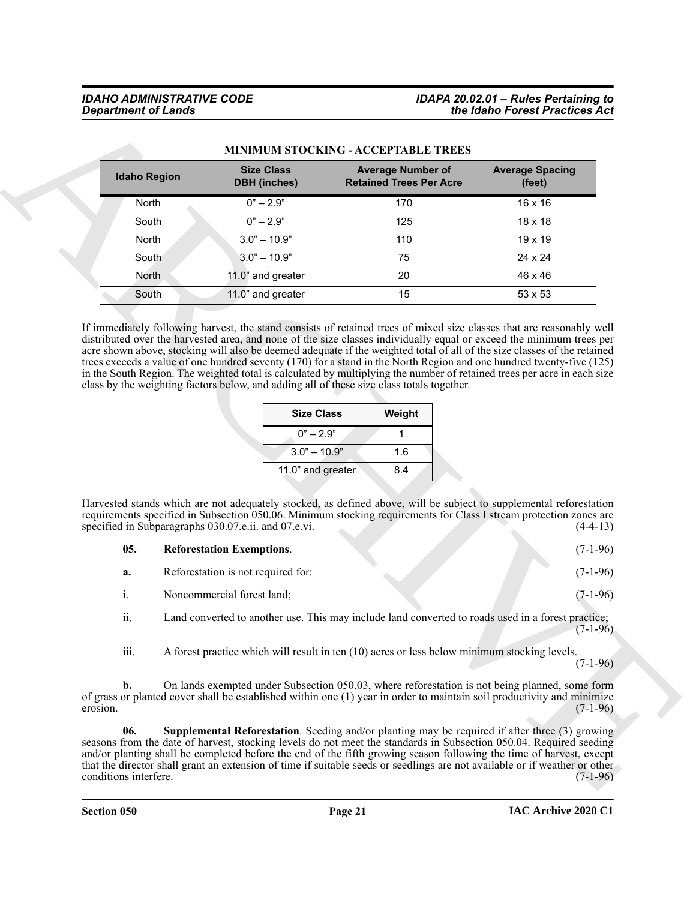|                     | MINIMUM STOCKING - ACCEPTABLE TREES                                                                                                                                                                                                             |                                                                                                                    |                                  |
|---------------------|-------------------------------------------------------------------------------------------------------------------------------------------------------------------------------------------------------------------------------------------------|--------------------------------------------------------------------------------------------------------------------|----------------------------------|
| <b>Idaho Region</b> | <b>Size Class</b><br><b>DBH</b> (inches)                                                                                                                                                                                                        | <b>Average Number of</b><br><b>Retained Trees Per Acre</b>                                                         | <b>Average Spacing</b><br>(feet) |
| North               | $0" - 2.9"$                                                                                                                                                                                                                                     | 170                                                                                                                | 16 x 16                          |
| South               | $0" - 2.9"$                                                                                                                                                                                                                                     | 125                                                                                                                | 18 x 18                          |
| North               | $3.0" - 10.9"$                                                                                                                                                                                                                                  | 110                                                                                                                | 19 x 19                          |
| South               | $3.0" - 10.9"$                                                                                                                                                                                                                                  | 75                                                                                                                 | 24 x 24                          |
| North               | 11.0" and greater                                                                                                                                                                                                                               | 20                                                                                                                 | 46 x 46                          |
| South               | 11.0" and greater                                                                                                                                                                                                                               | 15                                                                                                                 | 53 x 53                          |
|                     | <b>Size Class</b>                                                                                                                                                                                                                               | Weight                                                                                                             |                                  |
|                     | trees exceeds a value of one hundred seventy (170) for a stand in the North Region and one hundred twenty-five (125)<br>in the South Region. The weighted total is calculated by multiplying the number of retained trees per acre in each size |                                                                                                                    |                                  |
|                     | class by the weighting factors below, and adding all of these size class totals together.                                                                                                                                                       |                                                                                                                    |                                  |
|                     |                                                                                                                                                                                                                                                 |                                                                                                                    |                                  |
|                     | $0" - 2.9"$                                                                                                                                                                                                                                     | 1                                                                                                                  |                                  |
|                     | $3.0" - 10.9"$                                                                                                                                                                                                                                  | 1.6                                                                                                                |                                  |
|                     | 11.0" and greater                                                                                                                                                                                                                               | 8.4                                                                                                                |                                  |
|                     | Harvested stands which are not adequately stocked, as defined above, will be subject to supplemental reforestation                                                                                                                              |                                                                                                                    |                                  |
| 05.                 | specified in Subparagraphs 030.07.e.ii. and 07.e.vi.<br><b>Reforestation Exemptions.</b>                                                                                                                                                        | requirements specified in Subsection 050.06. Minimum stocking requirements for Class I stream protection zones are | $(4-4-13)$<br>$(7-1-96)$         |
| a.                  | Reforestation is not required for:                                                                                                                                                                                                              |                                                                                                                    | $(7-1-96)$                       |
| i.                  | Noncommercial forest land;                                                                                                                                                                                                                      |                                                                                                                    | $(7-1-96)$                       |
| ii.                 | Land converted to another use. This may include land converted to roads used in a forest practice;                                                                                                                                              |                                                                                                                    | $(7-1-96)$                       |
| iii.                | A forest practice which will result in ten (10) acres or less below minimum stocking levels.                                                                                                                                                    |                                                                                                                    | $(7-1-96)$                       |
| b.<br>erosion.      | On lands exempted under Subsection 050.03, where reforestation is not being planned, some form<br>of grass or planted cover shall be established within one (1) year in order to maintain soil productivity and minimize                        |                                                                                                                    | $(7-1-96)$                       |

### **MINIMUM STOCKING - ACCEPTABLE TREES**

| <b>Size Class</b> | Weight |
|-------------------|--------|
| $0" - 2.9"$       |        |
| $3.0" - 10.9"$    | 1.6    |
| 11.0" and greater | 84     |

<span id="page-20-0"></span>

| 05. | <b>Reforestation Exemptions.</b> |  |  |  |  |  | $(7-1-96)$ |
|-----|----------------------------------|--|--|--|--|--|------------|
|-----|----------------------------------|--|--|--|--|--|------------|

- **a.** Reforestation is not required for: (7-1-96)
- i. Noncommercial forest land; (7-1-96)
- ii. Land converted to another use. This may include land converted to roads used in a forest practice;  $(7-1-96)$
- <span id="page-20-1"></span>iii. A forest practice which will result in ten (10) acres or less below minimum stocking levels.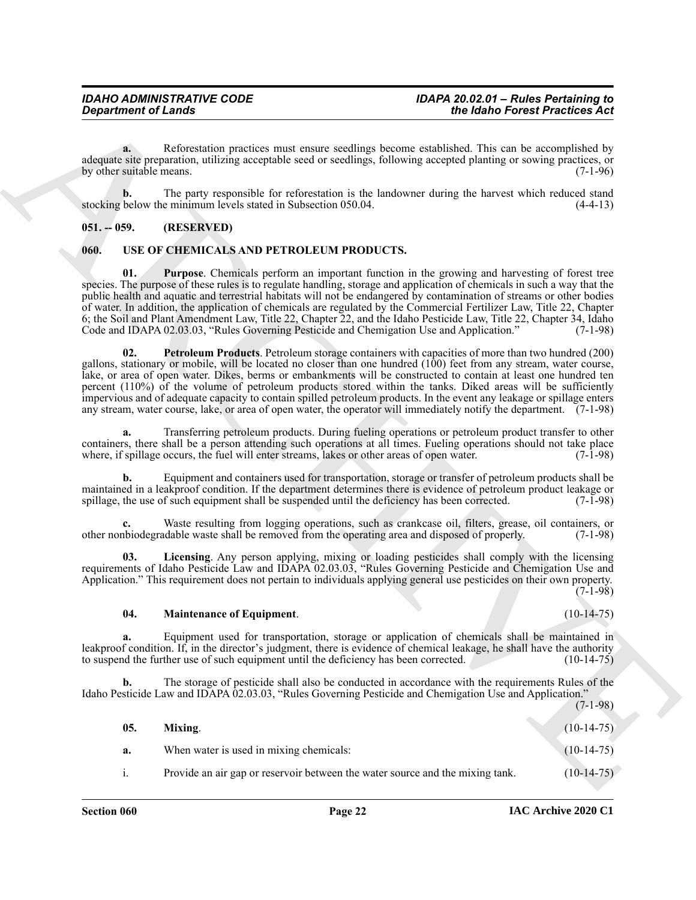**a.** Reforestation practices must ensure seedlings become established. This can be accomplished by adequate site preparation, utilizing acceptable seed or seedlings, following accepted planting or sowing practices, or<br>by other suitable means. (7-1-96) by other suitable means.

**b.** The party responsible for reforestation is the landowner during the harvest which reduced stand below the minimum levels stated in Subsection 050.04. (4-4-13) stocking below the minimum levels stated in Subsection 050.04.

#### <span id="page-21-0"></span>**051. -- 059. (RESERVED)**

#### <span id="page-21-2"></span><span id="page-21-1"></span>**060. USE OF CHEMICALS AND PETROLEUM PRODUCTS.**

<span id="page-21-7"></span><span id="page-21-6"></span>**01. Purpose**. Chemicals perform an important function in the growing and harvesting of forest tree species. The purpose of these rules is to regulate handling, storage and application of chemicals in such a way that the public health and aquatic and terrestrial habitats will not be endangered by contamination of streams or other bodies of water. In addition, the application of chemicals are regulated by the Commercial Fertilizer Law, Title 22, Chapter 6; the Soil and Plant Amendment Law, Title 22, Chapter 22, and the Idaho Pesticide Law, Title 22, Chapter 34, Idaho Code and IDAPA 02.03.03, "Rules Governing Pesticide and Chemigation Use and Application."

Great friends of Lendar<br>
Constrained of Canadian Science and the constrained of the state of the state of the state of the state of the state of the state of the state of the state of the state of the state of the state o **02. Petroleum Products**. Petroleum storage containers with capacities of more than two hundred (200) gallons, stationary or mobile, will be located no closer than one hundred (100) feet from any stream, water course, lake, or area of open water. Dikes, berms or embankments will be constructed to contain at least one hundred ten percent (110%) of the volume of petroleum products stored within the tanks. Diked areas will be sufficiently impervious and of adequate capacity to contain spilled petroleum products. In the event any leakage or spillage enters any stream, water course, lake, or area of open water, the operator will immediately notify the department. (7-1-98)

**a.** Transferring petroleum products. During fueling operations or petroleum product transfer to other containers, there shall be a person attending such operations at all times. Fueling operations should not take place where, if spillage occurs, the fuel will enter streams, lakes or other areas of open water. (7-1-98)

**b.** Equipment and containers used for transportation, storage or transfer of petroleum products shall be maintained in a leakproof condition. If the department determines there is evidence of petroleum product leakage or spillage, the use of such equipment shall be suspended until the deficiency has been corrected. (7-1-98) spillage, the use of such equipment shall be suspended until the deficiency has been corrected.

Waste resulting from logging operations, such as crankcase oil, filters, grease, oil containers, or dable waste shall be removed from the operating area and disposed of properly. (7-1-98) other nonbiodegradable waste shall be removed from the operating area and disposed of properly.

**03. Licensing**. Any person applying, mixing or loading pesticides shall comply with the licensing requirements of Idaho Pesticide Law and IDAPA 02.03.03, "Rules Governing Pesticide and Chemigation Use and Application." This requirement does not pertain to individuals applying general use pesticides on their own property. (7-1-98)

#### <span id="page-21-4"></span><span id="page-21-3"></span>**04. Maintenance of Equipment**. (10-14-75)

**a.** Equipment used for transportation, storage or application of chemicals shall be maintained in leakproof condition. If, in the director's judgment, there is evidence of chemical leakage, he shall have the authority to suspend the further use of such equipment until the deficiency has been corrected. (10-14-75)

**b.** The storage of pesticide shall also be conducted in accordance with the requirements Rules of the Idaho Pesticide Law and IDAPA 02.03.03, "Rules Governing Pesticide and Chemigation Use and Application." (7-1-98)

<span id="page-21-5"></span>

| 05. | Mixing.                                                                       | $(10-14-75)$ |
|-----|-------------------------------------------------------------------------------|--------------|
| a.  | When water is used in mixing chemicals:                                       | $(10-14-75)$ |
| i.  | Provide an air gap or reservoir between the water source and the mixing tank. | $(10-14-75)$ |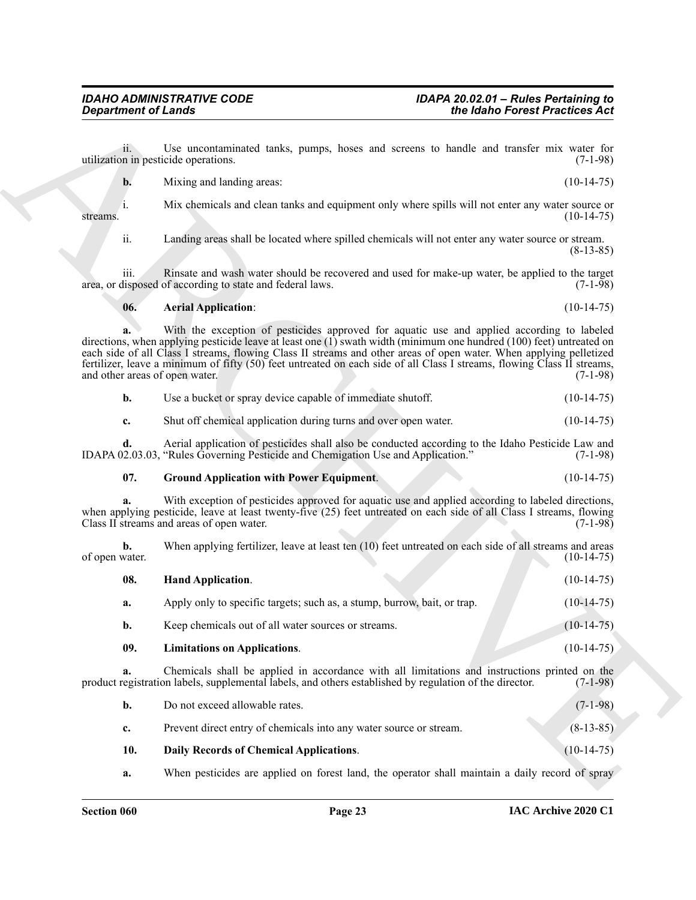- **b.** Mixing and landing areas: (10-14-75)
- i. Mix chemicals and clean tanks and equipment only where spills will not enter any water source or streams. (10-14-75)

#### <span id="page-22-0"></span>**06. Aerial Application**: (10-14-75)

| Use a bucket or spray device capable of immediate shutoff.      | $(10-14-75)$ |
|-----------------------------------------------------------------|--------------|
| Shut off chemical application during turns and over open water. | $(10-14-75)$ |

#### <span id="page-22-3"></span><span id="page-22-2"></span>**07. Ground Application with Power Equipment**. (10-14-75)

| the Idaho Forest Practices Act |                                                                                                                                                                                                                                                                                                                                                                                                                                                                     | <b>Department of Lands</b>           |
|--------------------------------|---------------------------------------------------------------------------------------------------------------------------------------------------------------------------------------------------------------------------------------------------------------------------------------------------------------------------------------------------------------------------------------------------------------------------------------------------------------------|--------------------------------------|
| $(7-1-98)$                     | Use uncontaminated tanks, pumps, hoses and screens to handle and transfer mix water for<br>utilization in pesticide operations.                                                                                                                                                                                                                                                                                                                                     | 11.                                  |
| $(10-14-75)$                   | Mixing and landing areas:                                                                                                                                                                                                                                                                                                                                                                                                                                           | b.                                   |
| $(10-14-75)$                   | Mix chemicals and clean tanks and equipment only where spills will not enter any water source or                                                                                                                                                                                                                                                                                                                                                                    | 1.<br>streams.                       |
| $(8-13-85)$                    | Landing areas shall be located where spilled chemicals will not enter any water source or stream.                                                                                                                                                                                                                                                                                                                                                                   | ii.                                  |
| $(7-1-98)$                     | Rinsate and wash water should be recovered and used for make-up water, be applied to the target<br>area, or disposed of according to state and federal laws.                                                                                                                                                                                                                                                                                                        | iii.                                 |
| $(10-14-75)$                   | <b>Aerial Application:</b>                                                                                                                                                                                                                                                                                                                                                                                                                                          | 06.                                  |
| $(7-1-98)$                     | With the exception of pesticides approved for aquatic use and applied according to labeled<br>directions, when applying pesticide leave at least one (1) swath width (minimum one hundred (100) feet) untreated on<br>each side of all Class I streams, flowing Class II streams and other areas of open water. When applying pelletized<br>fertilizer, leave a minimum of fifty (50) feet untreated on each side of all Class I streams, flowing Class II streams, | a.<br>and other areas of open water. |
| $(10-14-75)$                   | Use a bucket or spray device capable of immediate shutoff.                                                                                                                                                                                                                                                                                                                                                                                                          | $\mathbf{b}$ .                       |
| $(10-14-75)$                   | Shut off chemical application during turns and over open water.                                                                                                                                                                                                                                                                                                                                                                                                     | c.                                   |
| $(7-1-98)$                     | Aerial application of pesticides shall also be conducted according to the Idaho Pesticide Law and<br>IDAPA 02.03.03, "Rules Governing Pesticide and Chemigation Use and Application."                                                                                                                                                                                                                                                                               | d.                                   |
| $(10-14-75)$                   | <b>Ground Application with Power Equipment.</b>                                                                                                                                                                                                                                                                                                                                                                                                                     | 07.                                  |
| $(7-1-98)$                     | With exception of pesticides approved for aquatic use and applied according to labeled directions,<br>when applying pesticide, leave at least twenty-five (25) feet untreated on each side of all Class I streams, flowing<br>Class II streams and areas of open water.                                                                                                                                                                                             | a.                                   |
| $(10-14-75)$                   | When applying fertilizer, leave at least ten (10) feet untreated on each side of all streams and areas                                                                                                                                                                                                                                                                                                                                                              | b.<br>of open water.                 |
| $(10-14-75)$                   | Hand Application.                                                                                                                                                                                                                                                                                                                                                                                                                                                   | 08.                                  |
| $(10-14-75)$                   | Apply only to specific targets; such as, a stump, burrow, bait, or trap.                                                                                                                                                                                                                                                                                                                                                                                            | a.                                   |
| $(10-14-75)$                   | Keep chemicals out of all water sources or streams.                                                                                                                                                                                                                                                                                                                                                                                                                 | b.                                   |
| $(10-14-75)$                   | <b>Limitations on Applications.</b>                                                                                                                                                                                                                                                                                                                                                                                                                                 | 09.                                  |
| $(7-1-98)$                     | Chemicals shall be applied in accordance with all limitations and instructions printed on the<br>product registration labels, supplemental labels, and others established by regulation of the director.                                                                                                                                                                                                                                                            | a.                                   |
| $(7-1-98)$                     | Do not exceed allowable rates.                                                                                                                                                                                                                                                                                                                                                                                                                                      | b.                                   |
| $(8-13-85)$                    | Prevent direct entry of chemicals into any water source or stream.                                                                                                                                                                                                                                                                                                                                                                                                  | c.                                   |
| $(10-14-75)$                   | Daily Records of Chemical Applications.                                                                                                                                                                                                                                                                                                                                                                                                                             | 10.                                  |
|                                |                                                                                                                                                                                                                                                                                                                                                                                                                                                                     |                                      |

<span id="page-22-4"></span><span id="page-22-1"></span>

| b.  | Do not exceed allowable rates.                                     | $(7-1-98)$   |
|-----|--------------------------------------------------------------------|--------------|
| c.  | Prevent direct entry of chemicals into any water source or stream. | $(8-13-85)$  |
| 10. | <b>Daily Records of Chemical Applications.</b>                     | $(10-14-75)$ |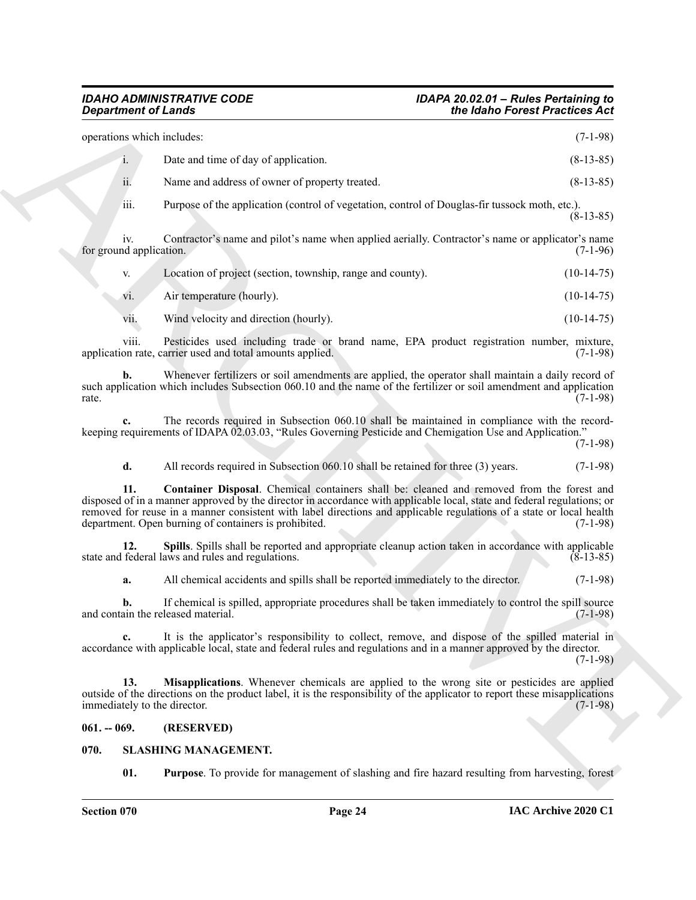| <b>Department of Lands</b>          |                                                                                                                                                                                                                                                                                                                                                                                                       | the Idaho Forest Practices Act |
|-------------------------------------|-------------------------------------------------------------------------------------------------------------------------------------------------------------------------------------------------------------------------------------------------------------------------------------------------------------------------------------------------------------------------------------------------------|--------------------------------|
| operations which includes:          |                                                                                                                                                                                                                                                                                                                                                                                                       | $(7-1-98)$                     |
| i.                                  | Date and time of day of application.                                                                                                                                                                                                                                                                                                                                                                  | $(8-13-85)$                    |
| ii.                                 | Name and address of owner of property treated.                                                                                                                                                                                                                                                                                                                                                        | $(8-13-85)$                    |
| iii.                                | Purpose of the application (control of vegetation, control of Douglas-fir tussock moth, etc.).                                                                                                                                                                                                                                                                                                        | $(8-13-85)$                    |
| iv.<br>for ground application.      | Contractor's name and pilot's name when applied aerially. Contractor's name or applicator's name                                                                                                                                                                                                                                                                                                      | $(7-1-96)$                     |
| V.                                  | Location of project (section, township, range and county).                                                                                                                                                                                                                                                                                                                                            | $(10-14-75)$                   |
| V1.                                 | Air temperature (hourly).                                                                                                                                                                                                                                                                                                                                                                             | $(10-14-75)$                   |
| vii.                                | Wind velocity and direction (hourly).                                                                                                                                                                                                                                                                                                                                                                 | $(10-14-75)$                   |
| viii.                               | Pesticides used including trade or brand name, EPA product registration number, mixture,<br>application rate, carrier used and total amounts applied.                                                                                                                                                                                                                                                 | $(7-1-98)$                     |
| b.<br>rate.                         | Whenever fertilizers or soil amendments are applied, the operator shall maintain a daily record of<br>such application which includes Subsection 060.10 and the name of the fertilizer or soil amendment and application                                                                                                                                                                              | $(7-1-98)$                     |
| c.                                  | The records required in Subsection 060.10 shall be maintained in compliance with the record-<br>keeping requirements of IDAPA 02.03.03, "Rules Governing Pesticide and Chemigation Use and Application."                                                                                                                                                                                              | $(7-1-98)$                     |
| d.                                  | All records required in Subsection 060.10 shall be retained for three (3) years.                                                                                                                                                                                                                                                                                                                      | $(7-1-98)$                     |
| 11.                                 | Container Disposal. Chemical containers shall be: cleaned and removed from the forest and<br>disposed of in a manner approved by the director in accordance with applicable local, state and federal regulations; or<br>removed for reuse in a manner consistent with label directions and applicable regulations of a state or local health<br>department. Open burning of containers is prohibited. | $(7-1-98)$                     |
| 12.                                 | Spills. Spills shall be reported and appropriate cleanup action taken in accordance with applicable<br>state and federal laws and rules and regulations.                                                                                                                                                                                                                                              | $(8-13-85)$                    |
| a.                                  | All chemical accidents and spills shall be reported immediately to the director.                                                                                                                                                                                                                                                                                                                      | $(7-1-98)$                     |
| b.                                  | If chemical is spilled, appropriate procedures shall be taken immediately to control the spill source<br>and contain the released material.                                                                                                                                                                                                                                                           | $(7-1-98)$                     |
| $c_{\cdot}$                         | It is the applicator's responsibility to collect, remove, and dispose of the spilled material in<br>accordance with applicable local, state and federal rules and regulations and in a manner approved by the director.                                                                                                                                                                               | $(7-1-98)$                     |
| 13.<br>immediately to the director. | Misapplications. Whenever chemicals are applied to the wrong site or pesticides are applied<br>outside of the directions on the product label, it is the responsibility of the applicator to report these misapplications                                                                                                                                                                             | $(7-1-98)$                     |
| $061. - 069.$                       | (RESERVED)                                                                                                                                                                                                                                                                                                                                                                                            |                                |
| 070.                                | <b>SLASHING MANAGEMENT.</b>                                                                                                                                                                                                                                                                                                                                                                           |                                |
| 01.                                 | <b>Purpose</b> . To provide for management of slashing and fire hazard resulting from harvesting, forest                                                                                                                                                                                                                                                                                              |                                |

<span id="page-23-4"></span>

| V.  | Location of project (section, township, range and county). | $(10-14-75)$ |
|-----|------------------------------------------------------------|--------------|
| V1. | Air temperature (hourly).                                  | $(10-14-75)$ |

|  | . . | v |
|--|-----|---|
|  |     |   |

#### <span id="page-23-6"></span><span id="page-23-5"></span><span id="page-23-0"></span>**061. -- 069. (RESERVED)**

#### <span id="page-23-3"></span><span id="page-23-2"></span><span id="page-23-1"></span>**070. SLASHING MANAGEMENT.**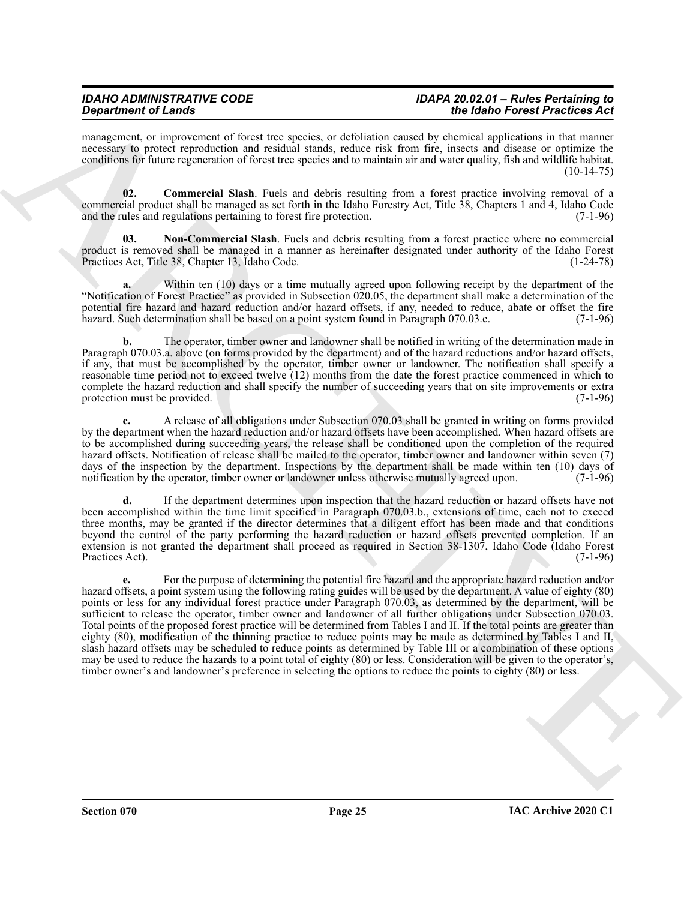management, or improvement of forest tree species, or defoliation caused by chemical applications in that manner necessary to protect reproduction and residual stands, reduce risk from fire, insects and disease or optimize the conditions for future regeneration of forest tree species and to maintain air and water quality, fish and wildlife habitat.  $(10-14-75)$ 

<span id="page-24-0"></span>**02. Commercial Slash**. Fuels and debris resulting from a forest practice involving removal of a commercial product shall be managed as set forth in the Idaho Forestry Act, Title 38, Chapters 1 and 4, Idaho Code and the rules and regulations pertaining to forest fire protection. (7-1-96)

<span id="page-24-1"></span>**03. Non-Commercial Slash**. Fuels and debris resulting from a forest practice where no commercial product is removed shall be managed in a manner as hereinafter designated under authority of the Idaho Forest Practices Act, Title 38, Chapter 13, Idaho Code.

Within ten (10) days or a time mutually agreed upon following receipt by the department of the "Notification of Forest Practice" as provided in Subsection 020.05, the department shall make a determination of the potential fire hazard and hazard reduction and/or hazard offsets, if any, needed to reduce, abate or offset the fire hazard. Such determination shall be based on a point system found in Paragraph 070.03.e. (7-1-96) hazard. Such determination shall be based on a point system found in Paragraph 070.03.e.

**b.** The operator, timber owner and landowner shall be notified in writing of the determination made in Paragraph 070.03.a. above (on forms provided by the department) and of the hazard reductions and/or hazard offsets, if any, that must be accomplished by the operator, timber owner or landowner. The notification shall specify a reasonable time period not to exceed twelve (12) months from the date the forest practice commenced in which to complete the hazard reduction and shall specify the number of succeeding years that on site improvements or extra protection must be provided. (7-1-96)

**c.** A release of all obligations under Subsection 070.03 shall be granted in writing on forms provided by the department when the hazard reduction and/or hazard offsets have been accomplished. When hazard offsets are to be accomplished during succeeding years, the release shall be conditioned upon the completion of the required hazard offsets. Notification of release shall be mailed to the operator, timber owner and landowner within seven (7) days of the inspection by the department. Inspections by the department shall be made within ten (10) days of notification by the operator, timber owner or landowner unless otherwise mutually agreed upon. (7-1-96) notification by the operator, timber owner or landowner unless otherwise mutually agreed upon.

**d.** If the department determines upon inspection that the hazard reduction or hazard offsets have not been accomplished within the time limit specified in Paragraph 070.03.b., extensions of time, each not to exceed three months, may be granted if the director determines that a diligent effort has been made and that conditions beyond the control of the party performing the hazard reduction or hazard offsets prevented completion. If an extension is not granted the department shall proceed as required in Section 38-1307, Idaho Code (Idaho Forest Practices Act). (7-1-96)

**Experimental distribution** of the specific term in the specific of the specific of the specific of the specific of the specific of the specific of the specific of the specific of the specific of the specific of the speci **e.** For the purpose of determining the potential fire hazard and the appropriate hazard reduction and/or hazard offsets, a point system using the following rating guides will be used by the department. A value of eighty (80) points or less for any individual forest practice under Paragraph 070.03, as determined by the department, will be sufficient to release the operator, timber owner and landowner of all further obligations under Subsection 070.03. Total points of the proposed forest practice will be determined from Tables I and II. If the total points are greater than eighty (80), modification of the thinning practice to reduce points may be made as determined by Tables I and II, slash hazard offsets may be scheduled to reduce points as determined by Table III or a combination of these options may be used to reduce the hazards to a point total of eighty (80) or less. Consideration will be given to the operator's, timber owner's and landowner's preference in selecting the options to reduce the points to eighty (80) or less.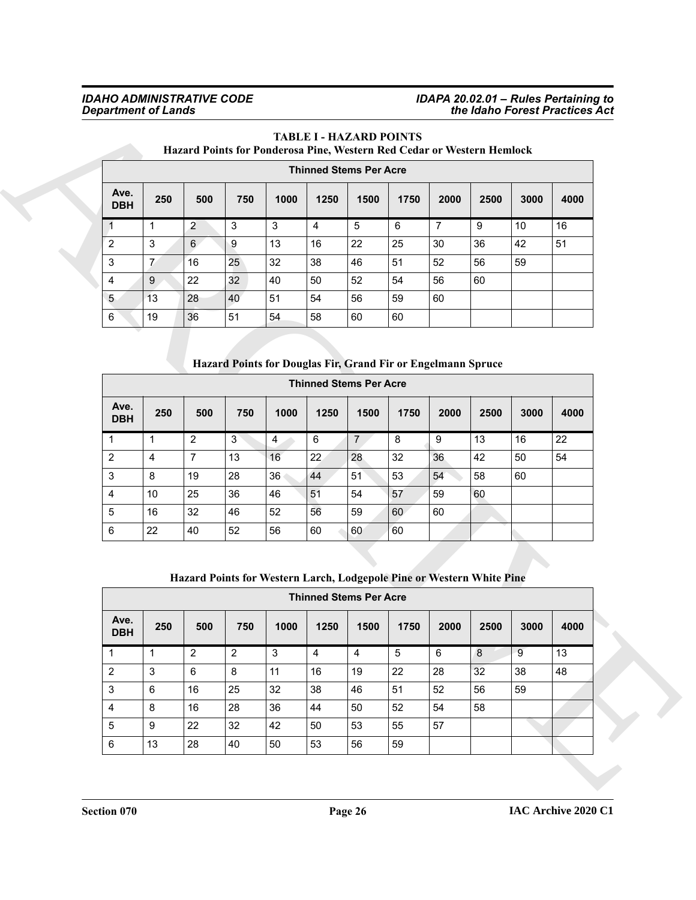#### *IDAHO ADMINISTRATIVE CODE IDAPA 20.02.01 – Rules Pertaining to Department of Lands the Idaho Forest Practices Act*

### **TABLE I - HAZARD POINTS**

#### **Hazard Points for Ponderosa Pine, Western Red Cedar or Western Hemlock**

|                    |     |                |     |      |      | <b>Thinned Stems Per Acre</b> |      |      |      |      |      |
|--------------------|-----|----------------|-----|------|------|-------------------------------|------|------|------|------|------|
| Ave.<br><b>DBH</b> | 250 | 500            | 750 | 1000 | 1250 | 1500                          | 1750 | 2000 | 2500 | 3000 | 4000 |
| $\overline{1}$     | 1   | $\overline{2}$ | 3   | 3    | 4    | 5                             | 6    | 7    | 9    | 10   | 16   |
| $\sqrt{2}$         | 3   | 6              | 9   | 13   | 16   | 22                            | 25   | 30   | 36   | 42   | 51   |
| 3                  | 7   | 16             | 25  | 32   | 38   | 46                            | 51   | 52   | 56   | 59   |      |
| $\overline{4}$     | 9   | 22             | 32  | 40   | 50   | 52                            | 54   | 56   | 60   |      |      |
| 5                  | 13  | 28             | 40  | 51   | 54   | 56                            | 59   | 60   |      |      |      |
| 6                  | 19  | 36             | 51  | 54   | 58   | 60                            | 60   |      |      |      |      |

### **Hazard Points for Douglas Fir, Grand Fir or Engelmann Spruce**

|                           |                  |                |                | Hazard Points for Ponderosa Pine, Western Red Cedar or Western Hemlock |                | <b>Thinned Stems Per Acre</b> |                |                |      |                |      |
|---------------------------|------------------|----------------|----------------|------------------------------------------------------------------------|----------------|-------------------------------|----------------|----------------|------|----------------|------|
| Ave.<br><b>DBH</b>        | 250              | 500            | 750            | 1000                                                                   | 1250           | 1500                          | 1750           | 2000           | 2500 | 3000           | 4000 |
| 1                         | $\mathbf{1}$     | $\overline{c}$ | 3              | 3                                                                      | 4              | 5                             | 6              | $\overline{7}$ | 9    | 10             | 16   |
| $\overline{2}$            | $\mathfrak{S}$   | 6              | 9              | 13                                                                     | 16             | 22                            | 25             | 30             | 36   | 42             | 51   |
| $\ensuremath{\mathsf{3}}$ | $\overline{7}$   | 16             | 25             | 32                                                                     | 38             | 46                            | 51             | 52             | 56   | 59             |      |
| $\overline{4}$            | $\boldsymbol{9}$ | 22             | 32             | 40                                                                     | 50             | 52                            | 54             | 56             | 60   |                |      |
| 5                         | 13               | 28             | 40             | 51                                                                     | 54             | 56                            | 59             | 60             |      |                |      |
| $\,6\,$                   | 19               | 36             | 51             | 54                                                                     | 58             | 60                            | 60             |                |      |                |      |
|                           |                  |                |                |                                                                        |                | <b>Thinned Stems Per Acre</b> |                |                |      |                |      |
| Ave.<br><b>DBH</b>        | 250              | 500            | 750            | 1000                                                                   | 1250           | 1500                          | 1750           | 2000           | 2500 | 3000           | 4000 |
| 1                         | $\mathbf{1}$     | $\overline{2}$ | $\mathbf{3}$   | 4                                                                      | 6              | $\overline{7}$                | 8              | 9              | 13   | 16             | 22   |
| $\overline{2}$            | $\overline{4}$   | $\overline{7}$ | 13             | 16                                                                     | 22             | 28                            | 32             | 36             | 42   | 50             | 54   |
| 3                         | 8                | 19             | 28             | 36                                                                     | 44             | 51                            | 53             | 54             | 58   | 60             |      |
| $\overline{4}$            | $10$             | 25             | 36             | 46                                                                     | 51             | 54                            | 57             | 59             | 60   |                |      |
| $\sqrt{5}$                | 16               | 32             | 46             | 52                                                                     | 56             | 59                            | 60             | 60             |      |                |      |
| 6                         | 22               | 40             | 52             | 56                                                                     | 60             | 60                            | 60             |                |      |                |      |
|                           |                  |                |                | Hazard Points for Western Larch, Lodgepole Pine or Western White Pine  |                | <b>Thinned Stems Per Acre</b> |                |                |      |                |      |
| Ave.<br><b>DBH</b>        | 250              | 500            | 750            | 1000                                                                   | 1250           | 1500                          | 1750           | 2000           | 2500 | 3000           | 4000 |
| $\mathbf{1}$              | $\mathbf{1}$     | $\overline{2}$ | $\overline{2}$ | $\overline{3}$                                                         | $\overline{4}$ | $\overline{4}$                | $\overline{5}$ | 6              | 8    | $\overline{9}$ | 13   |
| $\overline{2}$            | $\mathbf{3}$     | 6              | $\bf 8$        | 11                                                                     | 16             | 19                            | 22             | 28             | 32   | 38             | 48   |
| $\mathfrak{S}$            | 6                | 16             | 25             | 32                                                                     | 38             | 46                            | 51             | 52             | 56   | 59             |      |
| $\overline{4}$            | 8                | 16             | 28             | 36                                                                     | 44             | 50                            | 52             | 54             | 58   |                |      |
| $\sqrt{5}$                | 9                | 22             | 32             | 42                                                                     | 50             | 53                            | 55             | 57             |      |                |      |
| 6                         | 13               | 28             | 40             | 50                                                                     | 53             | 56                            | 59             |                |      |                |      |

#### **Hazard Points for Western Larch, Lodgepole Pine or Western White Pine**

|                    |     |                |     |      | <b>Thinned Stems Per Acre</b> |      |      |      |      |      |      |
|--------------------|-----|----------------|-----|------|-------------------------------|------|------|------|------|------|------|
| Ave.<br><b>DBH</b> | 250 | 500            | 750 | 1000 | 1250                          | 1500 | 1750 | 2000 | 2500 | 3000 | 4000 |
|                    |     | $\overline{2}$ | 2   | 3    | 4                             | 4    | 5    | 6    | 8    | 9    | 13   |
| $\overline{2}$     | 3   | 6              | 8   | 11   | 16                            | 19   | 22   | 28   | 32   | 38   | 48   |
| 3                  | 6   | 16             | 25  | 32   | 38                            | 46   | 51   | 52   | 56   | 59   |      |
| 4                  | 8   | 16             | 28  | 36   | 44                            | 50   | 52   | 54   | 58   |      |      |
| 5                  | 9   | 22             | 32  | 42   | 50                            | 53   | 55   | 57   |      |      |      |
| 6                  | 13  | 28             | 40  | 50   | 53                            | 56   | 59   |      |      |      |      |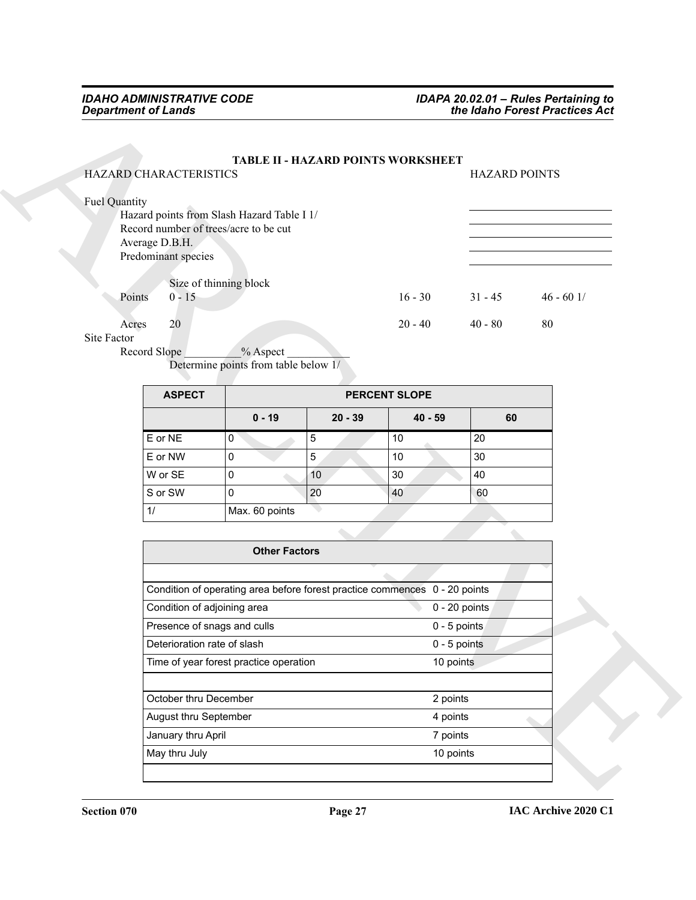## **TABLE II - HAZARD POINTS WORKSHEET** HAZARD CHARACTERISTICS HAZARD POINTS Fuel Quantity Hazard points from Slash Hazard Table I 1/ Record number of trees/acre to be cut Average D.B.H. Predominant species Size of thinning block Points 0 - 15 16 - 30 31 - 45 46 - 60 1/ Acres 20 20 - 40 20 - 40 40 - 80 80

| <b>ASPECT</b> |                |           | <b>PERCENT SLOPE</b> |    |
|---------------|----------------|-----------|----------------------|----|
|               | $0 - 19$       | $20 - 39$ | $40 - 59$            | 60 |
| E or NE       | 0              | 5         | 10                   | 20 |
| E or NW       | 0              | 5         | 10                   | 30 |
| W or SE       | 0              | 10        | 30                   | 40 |
| S or SW       | 0              | 20        | 40                   | 60 |
| 1/            | Max. 60 points |           |                      |    |

| HAZARD CHARACTERISTICS     |                                            |                      | TABLE II - HAZARD POINTS WORKSHEET                                         | <b>HAZARD POINTS</b> |            |
|----------------------------|--------------------------------------------|----------------------|----------------------------------------------------------------------------|----------------------|------------|
| Fuel Quantity              |                                            |                      |                                                                            |                      |            |
|                            | Hazard points from Slash Hazard Table I 1/ |                      |                                                                            |                      |            |
| Average D.B.H.             | Record number of trees/acre to be cut      |                      |                                                                            |                      |            |
| Predominant species        |                                            |                      |                                                                            |                      |            |
|                            |                                            |                      |                                                                            |                      |            |
| $0 - 15$<br>Points         | Size of thinning block                     |                      | $16 - 30$                                                                  | $31 - 45$            | $46 - 601$ |
|                            |                                            |                      |                                                                            |                      |            |
| 20<br>Acres<br>Site Factor |                                            |                      | $20 - 40$                                                                  | $40 - 80$            | 80         |
| Record Slope               | % Aspect                                   |                      |                                                                            |                      |            |
|                            | Determine points from table below 1/       |                      |                                                                            |                      |            |
| <b>ASPECT</b>              |                                            |                      | PERCENT SLOPE                                                              |                      |            |
|                            |                                            |                      |                                                                            |                      |            |
|                            | $0 - 19$                                   | $20 - 39$            | $40 - 59$                                                                  | 60                   |            |
| E or NE                    | $\overline{0}$                             | 5                    | 10                                                                         | 20                   |            |
| E or NW                    | $\pmb{0}$                                  | 5                    | 10                                                                         | 30                   |            |
| W or SE                    | $\pmb{0}$                                  | 10                   | $30\,$                                                                     | 40                   |            |
| S or SW                    | 0                                          | 20                   | 40                                                                         | 60                   |            |
| 1/                         | Max. 60 points                             |                      |                                                                            |                      |            |
|                            |                                            |                      |                                                                            |                      |            |
|                            |                                            | <b>Other Factors</b> |                                                                            |                      |            |
|                            |                                            |                      |                                                                            |                      |            |
|                            |                                            |                      | Condition of operating area before forest practice commences 0 - 20 points |                      |            |
|                            | Condition of adjoining area                |                      |                                                                            | $0 - 20$ points      |            |
|                            | Presence of snags and culls                |                      |                                                                            | $0 - 5$ points       |            |
|                            | Deterioration rate of slash                |                      |                                                                            | $0 - 5$ points       |            |
|                            | Time of year forest practice operation     |                      | 10 points                                                                  |                      |            |
|                            |                                            |                      |                                                                            |                      |            |
|                            | October thru December                      |                      | 2 points                                                                   |                      |            |
|                            | August thru September                      |                      | 4 points                                                                   |                      |            |
| January thru April         |                                            |                      | 7 points                                                                   |                      |            |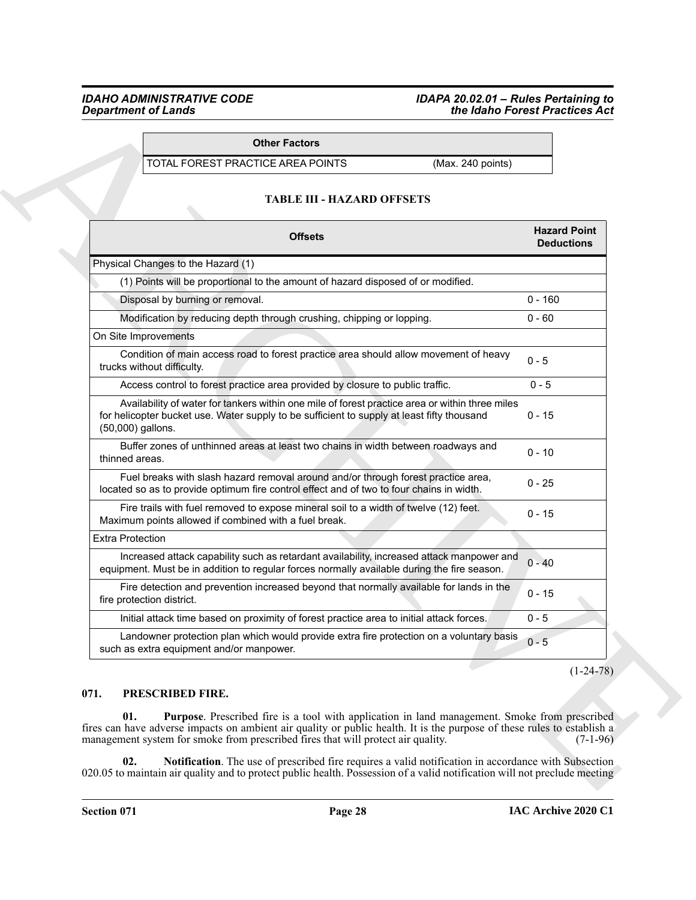#### *IDAHO ADMINISTRATIVE CODE IDAPA 20.02.01 – Rules Pertaining to Department of Lands the Idaho Forest Practices Act*

#### **Other Factors**

#### **TABLE III - HAZARD OFFSETS**

| <b>Other Factors</b>                                                                                                                                                                                                                                                                                                       |                                          |
|----------------------------------------------------------------------------------------------------------------------------------------------------------------------------------------------------------------------------------------------------------------------------------------------------------------------------|------------------------------------------|
| TOTAL FOREST PRACTICE AREA POINTS<br>(Max. 240 points)                                                                                                                                                                                                                                                                     |                                          |
| <b>TABLE III - HAZARD OFFSETS</b>                                                                                                                                                                                                                                                                                          |                                          |
| <b>Offsets</b>                                                                                                                                                                                                                                                                                                             | <b>Hazard Point</b><br><b>Deductions</b> |
| Physical Changes to the Hazard (1)                                                                                                                                                                                                                                                                                         |                                          |
| (1) Points will be proportional to the amount of hazard disposed of or modified.                                                                                                                                                                                                                                           |                                          |
| Disposal by burning or removal.                                                                                                                                                                                                                                                                                            | $0 - 160$                                |
| Modification by reducing depth through crushing, chipping or lopping.                                                                                                                                                                                                                                                      | $0 - 60$                                 |
| On Site Improvements                                                                                                                                                                                                                                                                                                       |                                          |
| Condition of main access road to forest practice area should allow movement of heavy<br>trucks without difficulty.                                                                                                                                                                                                         | $0 - 5$                                  |
| Access control to forest practice area provided by closure to public traffic.                                                                                                                                                                                                                                              | $0 - 5$                                  |
| Availability of water for tankers within one mile of forest practice area or within three miles<br>for helicopter bucket use. Water supply to be sufficient to supply at least fifty thousand<br>(50,000) gallons.                                                                                                         | $0 - 15$                                 |
| Buffer zones of unthinned areas at least two chains in width between roadways and<br>thinned areas.                                                                                                                                                                                                                        | $0 - 10$                                 |
| Fuel breaks with slash hazard removal around and/or through forest practice area,<br>located so as to provide optimum fire control effect and of two to four chains in width.                                                                                                                                              | $0 - 25$                                 |
| Fire trails with fuel removed to expose mineral soil to a width of twelve (12) feet.<br>Maximum points allowed if combined with a fuel break.                                                                                                                                                                              | $0 - 15$                                 |
| <b>Extra Protection</b>                                                                                                                                                                                                                                                                                                    |                                          |
| Increased attack capability such as retardant availability, increased attack manpower and<br>equipment. Must be in addition to regular forces normally available during the fire season.                                                                                                                                   | $0 - 40$                                 |
| Fire detection and prevention increased beyond that normally available for lands in the<br>fire protection district.                                                                                                                                                                                                       | $0 - 15$                                 |
| Initial attack time based on proximity of forest practice area to initial attack forces.                                                                                                                                                                                                                                   | $0 - 5$                                  |
| Landowner protection plan which would provide extra fire protection on a voluntary basis<br>such as extra equipment and/or manpower.                                                                                                                                                                                       | $0 - 5$                                  |
|                                                                                                                                                                                                                                                                                                                            | $(1-24-78)$                              |
| 071.<br>PRESCRIBED FIRE.                                                                                                                                                                                                                                                                                                   |                                          |
| 01.<br><b>Purpose.</b> Prescribed fire is a tool with application in land management. Smoke from prescribed<br>fires can have adverse impacts on ambient air quality or public health. It is the purpose of these rules to establish a<br>management system for smoke from prescribed fires that will protect air quality. | $(7-1-96)$                               |

#### <span id="page-27-3"></span><span id="page-27-2"></span><span id="page-27-1"></span><span id="page-27-0"></span>**071. PRESCRIBED FIRE.**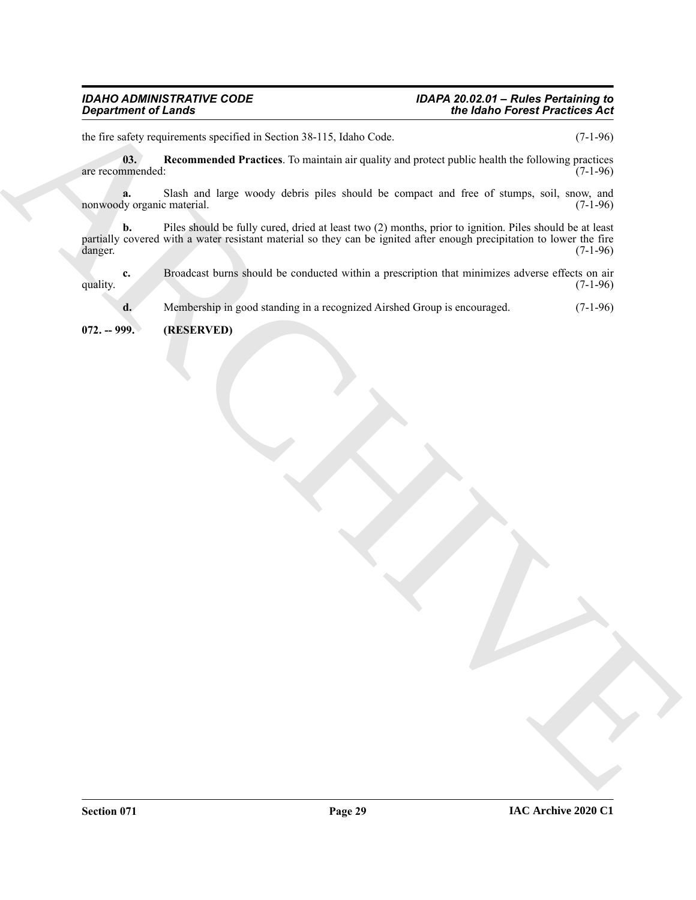#### *IDAHO ADMINISTRATIVE CODE IDAPA 20.02.01 – Rules Pertaining to Department of Lands the Idaho Forest Practices Act*

the fire safety requirements specified in Section 38-115, Idaho Code. (7-1-96)

<span id="page-28-1"></span>**03. Recommended Practices**. To maintain air quality and protect public health the following practices are recommended:

**a.** Slash and large woody debris piles should be compact and free of stumps, soil, snow, and dy organic material. (7-1-96) nonwoody organic material.

Government of Leman Construction in Society 25-115, it share Cost ... The Mainte Core of Proceed Position of the Cost of the Cost of the Cost of the Cost of the Cost of the Cost of the Cost of the Cost of the Cost of the **b.** Piles should be fully cured, dried at least two (2) months, prior to ignition. Piles should be at least partially covered with a water resistant material so they can be ignited after enough precipitation to lower the fire danger. (7-1-96)

**c.** Broadcast burns should be conducted within a prescription that minimizes adverse effects on air (7-1-96) quality.  $(7-1-96)$ 

**d.** Membership in good standing in a recognized Airshed Group is encouraged.  $(7-1-96)$ 

<span id="page-28-0"></span>**072. -- 999. (RESERVED)**